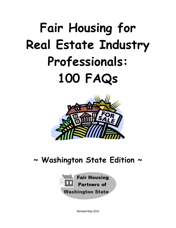# **Fair Housing for Real Estate Industry Professionals: 100 FAQs**



# **~ Washington State Edition ~**



Revised May 2015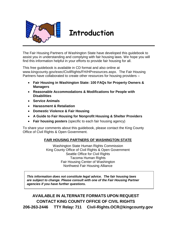

### **Introduction**

The Fair Housing Partners of Washington State have developed this guidebook to assist you in understanding and complying with fair housing laws. We hope you will find this information helpful in your efforts to provide fair housing for all.

This free guidebook is available in CD format and also online at www.kingcounty.gov/exec/CivilRights/FH/HPresources.aspx. The Fair Housing Partners have collaborated to create other resources for housing providers –

- **Fair Housing in Washington State: 100 FAQs for Property Owners & Managers**
- **Reasonable Accommodations & Modifications for People with Disabilities**
- **Service Animals**
- **Harassment & Retaliation**
- **Domestic Violence & Fair Housing**
- **A Guide to Fair Housing for Nonprofit Housing & Shelter Providers**
- **Fair housing posters** (specific to each fair housing agency)

To share your comments about this guidebook, please contact the King County Office of Civil Rights & Open Government.

### **FAIR HOUSING PARTNERS OF WASHINGTON STATE**

Washington State Human Rights Commission King County Office of Civil Rights & Open Government Seattle Office for Civil Rights Tacoma Human Rights Fair Housing Center of Washington Northwest Fair Housing Alliance

*This information does not constitute legal advice. The fair housing laws are subject to change. Please consult with one of the Fair Housing Partner agencies if you have further questions.*

**AVAILABLE IN ALTERNATE FORMATS UPON REQUEST CONTACT KING COUNTY OFFICE OF CIVIL RIGHTS 206-263-2446 TTY Relay: 711 [Civil-Rights.OCR@kingcounty.gov](mailto:Civil-Rights.OCR@kingcounty.gov)**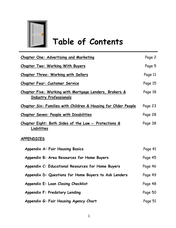

# **Table of Contents**

| <b>Chapter One: Advertising and Marketing</b>                                           | Page 2  |
|-----------------------------------------------------------------------------------------|---------|
| <b>Chapter Two: Working With Buyers</b>                                                 | Page 5  |
| Chapter Three: Working with Sellers                                                     | Page 11 |
| Chapter Four: Customer Service                                                          | Page 15 |
| Chapter Five: Working with Mortgage Lenders, Brokers &<br><b>Industry Professionals</b> | Page 18 |
| Chapter Six: Families with Children & Housing for Older People                          | Page 23 |
| <b>Chapter Seven: People with Disabilities</b>                                          | Page 28 |
| <u> Chapter Eight: Both Sides of the Law – Protections &amp;</u><br>Liabilities         | Page 38 |
| <b>APPENDICES</b>                                                                       |         |
| <b>Appendix A: Fair Housing Basics</b>                                                  | Page 41 |
| Appendix B: Area Resources for Home Buyers                                              | Page 45 |
| Appendix C: Educational Resources for Home Buyers                                       | Page 46 |
| Appendix D: Questions for Home Buyers to Ask Lenders                                    | Page 49 |
| Appendix E: Loan Closing Checklist                                                      | Page 48 |
| Appendix F: Predatory Lending                                                           | Page 50 |
| Appendix G: Fair Housing Agency Chart                                                   | Page 51 |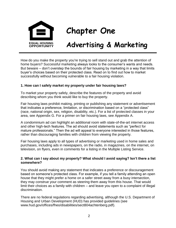

# **Chapter One**

### **Advertising & Marketing**

How do you make the property you're trying to sell stand out and grab the attention of home buyers? Successful marketing always looks to the consumer's wants and needs. But beware – don't overstep the bounds of fair housing by marketing in a way that limits buyer's choices based on their protected class. Read on to find out how to market successfully without becoming vulnerable to a fair housing violation.

### **1. How can I safely market my property under fair housing laws?**

To market your property safely, describe the features of the property and avoid describing whom you think would like to buy the property.

Fair housing laws prohibit making, printing or publishing any statement or advertisement that indicates a preference, limitation, or discrimination based on a "protected class" (race, national origin, sex, religion, disability, etc.). For a list of protected classes in your area, see Appendix G. For a primer on fair housing laws, see Appendix A.

A condominium ad can highlight an additional room with state-of-the-art internet access and other high-tech features. The ad should avoid statements such as "perfect for mature professionals." Then the ad will appeal to everyone interested in those features, rather than discouraging families with children from viewing the property.

Fair housing laws apply to all types of advertising or marketing used in home sales and purchases, including ads in newspapers, on the radio, in magazines, on the internet, on television, on flyers, even in comments for a listing in the Multiple Listing Service.

### **2. What can I say about my property? What should I avoid saying? Isn't there a list somewhere?**

You should avoid making any statement that indicates a preference or discouragement based on someone's protected class. For example, if you tell a family attending an open house that they might prefer a home on a safer street away from a busy intersection, they may construe your comment as steering them away from this house. That would limit their choices as a family with children – and leave you open to a complaint of illegal discrimination.

There are no federal regulations regarding advertising, although the U.S. Department of Housing and Urban Development (HUD) has provided guidelines (see www.hud.gov/offices/fheo/disabilities/sect804achtenberg.pdf).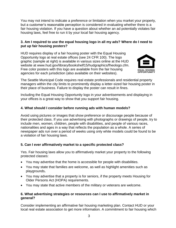You may not intend to indicate a preference or limitation when you market your property, but a customer's reasonable perception is considered in evaluating whether there is a fair housing violation. If you have a question about whether an ad potentially violates fair housing laws, feel free to run it by your local fair housing agency.

### **3. Am I required to use the equal housing logo in all my ads? Where do I need to put up fair housing posters?**

HUD requires display of a fair housing poster with the Equal Housing Opportunity logo at real estate offices (see 24 CFR 100). The logo graphic (sample at right) is available in various sizes online at the HUD website at www.hud.gov/library/bookshelf15/hudgraphics/fheologo.cfm. Free color posters with this logo are available from the fair housing agencies for each jurisdiction (also available on their websites).



The Seattle Municipal Code requires real estate professionals and residential property managers within the city limits to prominently display a letter-sized fair housing poster in their place of business. Failure to display the poster can result in fines.

Including the Equal Housing Opportunity logo in your advertisements and displaying in your offices is a great way to show that you support fair housing.

### **4. What should I consider before running ads with human models?**

Avoid using pictures or images that show preference or discourage people because of their protected class. If you use advertising with photographs or drawings of people, try to include men, women, children, people with disabilities, and people of various races, nationalities and ages in a way that reflects the population as a whole. A series of newspaper ads run over a period of weeks using only white models could be found to be a violation of fair housing laws.

### **5. Can I ever affirmatively market to a specific protected class?**

Yes. Fair housing laws allow you to affirmatively market your property to the following protected classes:

- You may advertise that the home is accessible for people with disabilities.
- You may state that families are welcome, as well as highlight amenities such as playgrounds**.**
- You may advertise that a property is for seniors, if the property meets Housing for Older Persons Act (HOPA) requirements.
- You may state that active members of the military or veterans are welcome.

### **6. What advertising strategies or resources can I use to affirmatively market in general?**

Consider implementing an affirmative fair housing marketing plan. Contact HUD or your local real estate association to get more information. A commitment to fair housing which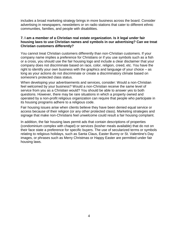includes a broad marketing strategy brings in more business across the board. Consider advertising in newspapers, newsletters or on radio stations that cater to different ethnic communities, families, and people with disabilities.

### **7. I am a member of a Christian real estate organization. Is it legal under fair housing laws to use Christian names and symbols in our advertising? Can we treat Christian customers differently?**

You cannot treat Christian customers differently than non-Christian customers. If your company name implies a preference for Christians or if you use symbols such as a fish or a cross, you should use the fair housing logo and include a clear disclaimer that your company does not discriminate based on race, color, religion, creed, etc. You have the right to identify your own business with the graphics and language of your choice – as long as your actions do not discriminate or create a discriminatory climate based on someone's protected class status.

When developing your advertisements and services, consider: Would a non-Christian feel welcomed by your business? Would a non-Christian receive the same level of service from you as a Christian would? You should be able to answer yes to both questions. However, there may be rare situations in which a property owned and operated by a non-profit religious organization can require that people who participate in its housing programs adhere to a religious code.

Fair housing issues arise when clients believe they have been denied equal service or access because of their religion (or any other protected class). Marketing strategies and signage that make non-Christians feel unwelcome could result a fair housing complaint.

In addition, the fair housing laws permit ads that contain descriptions of properties (condominium complex with chapel) or services (kosher meals available) that do not on their face state a preference for specific buyers. The use of secularized terms or symbols relating to religious holidays, such as Santa Claus, Easter Bunny or St. Valentine's Day images, or phrases such as Merry Christmas or Happy Easter are permitted under fair housing laws.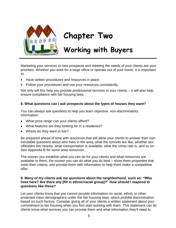

# **Chapter Two**

# **Working with Buyers**

Marketing your services to new prospects and meeting the needs of your clients are your priorities. Whether you work for a large office or operate out of your home, it is important to:

- Have written procedures and resources in place.
- Follow your procedures and use your resources consistently.

Not only will this help you provide professional services to your clients – it will also help ensure compliance with fair housing laws.

### **8. What questions can I ask prospects about the types of houses they want?**

You can always ask questions to help you learn objective, non-discriminatory information:

- What price range can your clients afford?
- What features are they looking for in a residence?
- Where do they want to live?

Be prepared ahead of time with resources that will allow your clients to answer their own inevitable questions about who lives in the area, what the schools are like, whether sex offenders live nearby, what transportation is available, what the crime rate is, and so on. See Appendix B for some area resources.

The sooner you establish what you can do for your clients and what resources are available to them, the sooner you can do what you do best – show them properties that meet their criteria, and provide them with information to help them make a competitive offer.

### **9. Many of my clients ask me questions about the neighborhood, such as: "Who lives here? Are there any [fill in ethnic/racial group]?" How should I respond to questions like these?**

Let your clients know that you cannot provide information on racial, ethnic or other protected class demographics under the fair housing laws, which prohibit discrimination based on such factors. Consider giving all of your clients a written statement about your commitment to fair housing when you first start working with them. This statement can let clients know what services you can provide them and what information they'll need to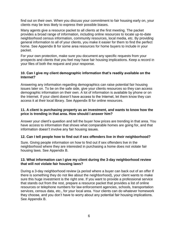find out on their own. When you discuss your commitment to fair housing early on, your clients may be less likely to express their possible biases.

Many agents give a resource packet to all clients at the first meeting. The packet provides a broad range of information, including online resources to locate up-to-date neighborhood census information, community resources, local media, etc. By providing general information to all of your clients, you make it easier for them to find the perfect home. See Appendix B for some area resources for home buyers to include in your packet.

For your own protection, make sure you document any specific requests from your prospects and clients that you feel may have fair housing implications. Keep a record in your files of both the request and your response.

### **10. Can I give my client demographic information that's readily available on the Internet?**

Answering any information regarding demographics can raise potential fair housing issues later on. To be on the safe side, give your clients resources so they can access demographic information on their own. A lot of information is available by phone or on the Internet. If your client doesn't have access to the Internet, let them know they can access it at their local library. See Appendix B for online resources.

### **11. A client is purchasing property as an investment, and wants to know how the price is trending in that area. How should I answer him?**

Answer your client's question and tell the buyer how prices are trending in that area. You have access to information that shows what comparable homes are going for, and that information doesn't involve any fair housing issues.

### **12. Can I tell people how to find out if sex offenders live in their neighborhood?**

Sure. Giving people information on how to find out if sex offenders live in the neighborhood where they are interested in purchasing a home does not violate fair housing laws. See Appendix B.

### **13. What information can I give my client during the 3-day neighborhood review that will not violate fair housing laws?**

During a 3-day neighborhood review (a period where a buyer can back out of an offer if there is something they do not like about the neighborhood), your client wants to make sure this huge investment is the right one. If you want to provide a professional service that stands out from the rest, prepare a resource packet that provides a list of online resources or telephone numbers for law enforcement agencies, schools, transportation services, census data, etc., for your local area. Your clients can do whatever homework they choose, and you don't have to worry about any potential fair housing implications. See Appendix B.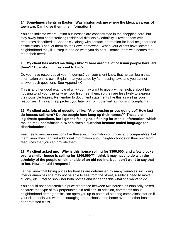### **14. Sometimes clients in Eastern Washington ask me where the Mexican areas of town are. Can I give them this information?**

You can indicate where Latino businesses are concentrated in the shopping core, but stay away from characterizing residential districts by ethnicity. Provide them with resources described in Appendix C along with contact information for local neighborhood associations. Then let them do their own homework. When your clients have located a neighborhood they like, step in and do what you do best – match them with homes that meet their needs.

### **15. My client has asked me things like: "There aren't a lot of Asian people here, are there?" How should I respond to him?**

Do you have resources at your fingertips? Let your client know that he can learn that information on his own. Explain that you abide by fair housing laws and you cannot answer such questions. See Appendix C.

This is another good example of why you may want to give a written notice about fair housing to all your clients when you first meet them, so they are less likely to express their possible biases. Remember to document statements like this as well as your responses. This can help protect you later on from potential fair housing complaints.

### **16. My client asks lots of questions like: "Are housing prices going up? How fast do houses sell here? Do the people here keep up their homes?" These are legitimate questions, but I get the feeling he's fishing for ethnic information, which makes me uncomfortable. When does a question become coded language for discrimination?**

Feel free to answer questions like these with information on prices and comparables. Let them know they can find additional information about neighborhoods on their own from resources that you can provide them.

### **17. My client asked me, "Why is this house selling for \$300,000, and a few blocks over a similar house is selling for \$200,000?" I think it may have to do with the ethnicity of the people on either side of an old redline, but I don't want to say that to her. How should I respond?**

Let her know that listing prices for houses are determined by many variables, including interior amenities she may not be able to see from the street, a seller's need to move quickly, etc. Offer to show her both homes and let her decide what she wants to do.

You should not characterize a price difference between two houses as ethnically based, because that type of talk perpetuates old redlines. In addition, comments about neighborhood demographics can open you up to potential steering complaints later on if your client feels you were encouraging her to choose one home over the other based on her protected class.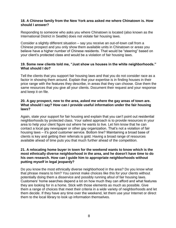### **18. A Chinese family from the New York area asked me where Chinatown is. How should I answer?**

Responding to someone who asks you where Chinatown is located (also known as the International District in Seattle) does not violate fair housing laws.

Consider a slightly different situation – say you receive an out-of-town call from a Chinese prospect and you only show them available units in Chinatown or areas you believe have a higher number of Chinese residents. That would be "steering" based on your client's protected class and would be a violation of fair housing laws.

### **19. Some new clients told me, "Just show us houses in the white neighborhoods." What should I do?**

Tell the clients that you support fair housing laws and that you do not consider race as a factor in showing them around. Explain that your expertise is in finding houses in their price range with the features they describe, in areas that they can choose. Give them the same resources that you give all your clients. Document their request and your response and keep it on file.

### **20. A gay prospect, new to the area, asked me where the gay areas of town are. What should I say? How can I provide useful information under the fair housing laws?**

Again, state your support for fair housing and explain that you can't point out residential neighborhoods by protected class. Your safest approach is to provide resources in your area to help your client figure out where he wants to live. Let him know that he can contact a local gay newspaper or other gay organization. That's not a violation of fair housing laws – it's good customer service. Bottom line? Maintaining a broad base of clients is key and getting their referrals is gold. Having a broad range of resources available ahead of time puts you that much further ahead of the competition.

### **21. A relocating home buyer in town for the weekend wants to know which is the most ethnically diverse neighborhood in the area, and he doesn't have time to do his own research. How can I guide him to appropriate neighborhoods without putting myself in legal jeopardy?**

Do you know the most ethnically diverse neighborhood in the area? Do you know what that phrase means to him? You cannot make choices like this for your clients without potentially doing them a disservice and possibly running afoul of fair housing laws. Customers' home searches depend a lot on how much they can afford and what features they are looking for in a home. Stick with those elements as much as possible. Give them a range of choices that meet their criteria in a wide variety of neighborhoods and let them decide. If they have any time over the weekend, let them use your Internet or direct them to the local library to look up information themselves.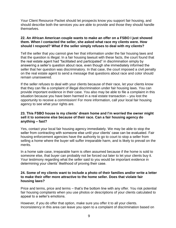Your Client Resource Packet should let prospects know you support fair housing, and should describe both the services you are able to provide and those they should handle themselves.

### **22. An African American couple wants to make an offer on a FSBO I just showed them. When I contacted the seller, she asked what race my clients were. How should I respond? What if the seller simply refuses to deal with my clients?**

Tell the seller that you cannot give her that information under the fair housing laws and that the question is illegal. In a fair housing lawsuit with these facts, the court found that the real estate agent had "facilitated and participated" in discrimination simply by answering a seller's question about race, even though she immediately informed the seller that her question was discriminatory. In that case, the court imposed a civil penalty on the real estate agent to send a message that questions about race and color should remain unanswered.

If the seller refuses to deal with your clients because of their race, let your clients know that they can file a complaint of illegal discrimination under fair housing laws. You can provide important evidence in their case. You also may be able to file a complaint in this situation because you have been harmed in a real estate transaction – you lost the opportunity to receive a commission! For more information, call your local fair housing agency to see what your rights are.

### **23. This FSBO house is my clients' dream home and I'm worried the owner might sell it to someone else because of their race. Can a fair housing agency do anything – fast?**

Yes, contact your local fair housing agency immediately. We may be able to stop the seller from contracting with someone else until your clients' case can be evaluated. Fair housing enforcement agencies have the authority to go to court to stop a seller from selling a home where the buyer will suffer irreparable harm, and is likely to prevail on the merits.

In a home sale case, irreparable harm is often assumed because if the home is sold to someone else, that buyer can probably not be forced out later to let your clients buy it. Your testimony regarding what the seller said to you would be important evidence in determining your clients' likelihood of proving their case.

### **24. Some of my clients want to include a photo of their families and/or write a letter to make their offer more attractive to the home seller. Does that violate fair housing laws?**

Price and terms, price and terms – that's the bottom line with any offer. You risk potential fair housing complaints when you use photos or descriptions of your clients calculated to appeal to a seller's emotions.

However, if you do offer that option, make sure you offer it to all your clients. Inconsistency in this area can leave you open to a complaint of discrimination based on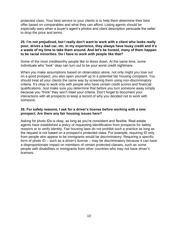protected class. Your best service to your clients is to help them determine their best offer based on comparables and what they can afford. Listing agents should be especially wary when a buyer's agent's photos and client description persuade the seller to drop the price and terms.

### **25. I'm not prejudiced, but I really don't want to work with a client who looks really poor, drives a bad car, etc. In my experience, they always have lousy credit and it's a waste of my time to take them around. And let's be honest, many of them happen to be racial minorities. Do I have to work with people like that?**

Some of the most creditworthy people like to dress down. At the same time, some individuals who "look" okay can turn out to be your worst credit nightmare.

When you make assumptions based on observation alone, not only might you lose out on a good prospect, you also open yourself up to a potential fair housing complaint. You should treat all your clients the same way by screening them using non-discriminatory criteria. It's okay to work only with people who have certain credit scores and financial qualifications. Just make sure you determine that before you turn someone away simply because you "think" they won't meet your criteria. Don't forget to document your interactions with all prospects to keep a record of why you decided not to work with someone.

### **26. For safety reasons, I ask for a driver's license before working with a new prospect. Are there any fair housing issues here?**

Asking for photo IDs is okay, as long as you're consistent and flexible. Real estate agents have established a policy of requesting identification from prospects for safety reasons or to verify identity. Fair housing laws do not prohibit such a practice as long as the request is not based on a prospect's protected class. For example, requiring ID only from people who appear to be immigrants would be discriminatory. Requiring a specific form of photo ID – such as a driver's license – may be discriminatory because it can have a disproportionate impact on members of certain protected classes, such as some people with disabilities or immigrants from other countries who may not have driver's licenses.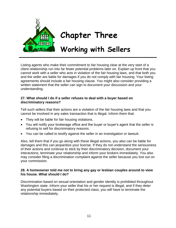

# **Chapter Three**

# **Working with Sellers**

Listing agents who make their commitment to fair housing clear at the very start of a client relationship run into far fewer potential problems later on. Explain up front that you cannot work with a seller who acts in violation of the fair housing laws, and that both you and the seller are liable for damages if you do not comply with fair housing. Your listing agreements should include a fair housing clause. You might also consider providing a written statement that the seller can sign to document your discussion and your understanding.

### **27. What should I do if a seller refuses to deal with a buyer based on discriminatory reasons?**

Tell such sellers that their actions are a violation of the fair housing laws and that you cannot be involved in any sales transaction that is illegal. Inform them that:

- They will be liable for fair housing violations.
- You will notify your brokerage office and the buyer or buyer's agent that the seller is refusing to sell for discriminatory reasons.
- You can be called to testify against the seller in an investigation or lawsuit.

Also, tell them that if you go along with these illegal actions, you also can be liable for damages and this can jeopardize your license. If they do not understand the seriousness of their actions and continue to stick by their discriminatory decision, document your interactions, terminate your relationship and inform your brokers immediately. You also may consider filing a discrimination complaint against the seller because you lost out on your commission.

### **28. A homeowner told me not to bring any gay or lesbian couples around to view his house. What should I do?**

Discrimination based on sexual orientation and gender identity is prohibited throughout Washington state. Inform your seller that his or her request is illegal, and if they deter any potential buyers based on their protected class, you will have to terminate the relationship immediately.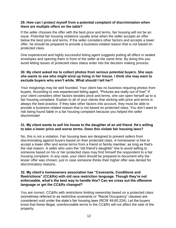### **29. How can I protect myself from a potential complaint of discrimination when there are multiple offers on the table?**

If the seller chooses the offer with the best price and terms, fair housing will not be an issue. Potential fair housing violations usually arise when the seller accepts an offer below the best price and terms. If the seller considers other factors and accepts a lower offer, he should be prepared to provide a business-related reason that is not based on protected class.

One experienced and highly successful listing agent suggests putting all offers in sealed envelopes and opening them in front of the seller at the same time. By doing this you avoid letting issues of protected class status enter into the decision making process.

### **30. My client asked me to collect photos from serious potential buyers. She says she wants to see who might wind up living in her house. I think she may want to exclude buyers who aren't white. What should I tell her?**

Your misgivings may be well founded. Your client has no business requiring photos from buyers. According to one experienced listing agent, "Pictures are really out of line!" If your client considers other factors besides price and terms, she can open herself up to a fair housing complaint. Explain to all of your clients that sticking with price and terms is always the best practice. If they take other factors into account, they must be able to provide a business-related reason that is not based on protected class. You don't want to risk being found liable in a fair housing complaint because you helped the seller discriminate!

### **31. My client wants to sell his house to the daughter of an old friend. He's willing to take a lower price and worse terms. Does this violate fair housing laws?**

No, this is not a violation. Fair housing laws are designed to prevent sellers from discriminating against buyers based on their protected class. A homeowner is free to accept a lower offer and worse terms from a friend or family member, as long as that's the real reason. A seller who uses the "old friend's daughter" line to avoid selling to someone based on his or her protected class may find himself the respondent to a fair housing complaint. In any case, your client should be prepared to document why the lesser offer was chosen, just in case someone thinks their higher offer was denied for discriminatory reasons.

### **32. My client's homeowners association has "Covenants, Conditions and Restrictions" (CC&Rs) with old race restriction language. Though they're not enforceable, what's the best way to handle this? Can we cross out the offensive language or get the CC&Rs changed?**

You are correct. CC&Rs with restrictions limiting ownership based on a protected class (sometimes referred to as restrictive covenants or "Racial Occupancy" clauses) are considered void under the state's fair housing laws (RCW 49.60.224). Let the buyers know that these illegal, unenforceable terms in the CC&Rs will not affect the sale of the property.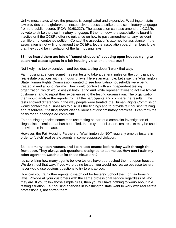Unlike most states where the process is complicated and expensive, Washington state law provides a straightforward, inexpensive process to strike that discriminatory language from the public records (RCW 49.60.227). The association can also amend the CC&Rs by vote to strike the discriminatory language. If the homeowners association's board is inactive or if the CC&Rs offer no guidance on how to pass amendments, any resident can file an uncontested petition. Contact the association's attorney for assistance. If the association is not willing to amend the CC&Rs, let the association board members know that they could be in violation of the fair housing laws.

### **33. I've heard there are lots of "secret shoppers" scouting open houses trying to catch real estate agents in a fair housing violation. Is that true?**

Not likely. It's too expensive – and besides, testing doesn't work that way.

Fair housing agencies sometimes run tests to take a general pulse on the compliance of real estate practices with fair housing laws. Here's an example: Let's say the Washington State Human Rights Commission wanted to see how Latino households were being treated in and around Yakima. They would contract with an independent testing organization, which would assign both Latino and white representatives to act like typical customers, and to report their experiences to the testing organization. The organization then would analyze the reports from all the participants and compare the results. If the tests showed differences in the way people were treated, the Human Rights Commission would contact the businesses to discuss the findings and to provide fair housing training and resources. If testing shows clear evidence of discriminatory practices, it can form the basis for an agency-filed complaint.

Fair housing agencies sometimes use testing as part of a complaint investigation of illegal discrimination that has been filed. In this type of situation, test results may be used as evidence in the case.

However, the Fair Housing Partners of Washington do NOT regularly employ testers in order to "catch" real estate agents in some supposed violation.

### **34. I do many open houses, and I can spot testers before they walk through the front door. They always ask questions designed to set me up. How can I train my other agents to watch out for these situations?**

It's surprising how many agents believe testers have approached them at open houses. We don't test that way. If you were being tested, you would not realize because testers never would use obvious questions to try to entrap you.

How can you train other agents to watch out for testers? School them on fair housing laws. Provide all your customers with the same professional service regardless of who they are. If you follow those simple rules, then you will have nothing to worry about in a testing situation. Fair housing agencies in Washington state want to work with real estate professionals, not entrap them.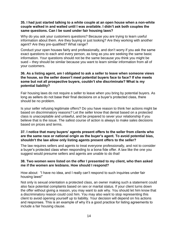### **35. I had just started talking to a white couple at an open house when a non-white couple walked in and waited until I was available. I didn't ask both couples the same questions. Can I be sued under fair housing laws?**

Why do you ask your customers questions? Because you are trying to learn useful information about them. Are they buying or just looking? Are they working with another agent? Are they pre-qualified? What range?

Conduct your open houses fairly and professionally, and don't worry if you ask the same exact questions to each and every person, as long as you are seeking the same basic information. Your questions should not be the same because you think you might be sued – they should be similar because you want to learn similar information from all of your customers.

### **36. As a listing agent, am I obligated to ask a seller to leave when someone views the house, so the seller doesn't meet potential buyers face to face? If she meets some but not all prospective buyers, couldn't she discriminate? What is my potential liability?**

Fair housing laws do not require a seller to leave when you bring by potential buyers. As long as sellers do not base their final decisions on a buyer's protected class, there should be no problem.

Is your seller refusing legitimate offers? Do you have reason to think her actions might be based on discriminatory reasons? Let the seller know that denial based on a protected class is unacceptable and unlawful, and be prepared to sever your relationship if you believe that is the issue. The safest course of action is always to make sales decisions based on prices and terms.

### **37. I notice that many buyers' agents present offers to the seller from clients who are the same race or national origin as the buyer's agent. To avoid potential bias, shouldn't the law allow only listing agents present offers to the seller?**

The law requires sellers and agents to treat everyone professionally, and not to consider a buyer's protected class when responding to a bona fide offer. A law like the one you suggest would presume sellers and agents are unable to do that!

### **38. Two women were listed on the offer I presented to my client, who then asked me if the women are lesbians. How should I respond?**

How about: "I have no idea, and I really can't respond to such inquiries under fair housing laws!"

Not only is sexual orientation a protected class, an owner making such a statement could also face potential complaints based on sex or marital status. If your client turns down the offer without giving a reason, you may want to ask why. You should let him know that a discriminatory reason could cost him. You may also want to stop representing this client to avoid opening yourself up to liability. Your decision will depend on his actions and responses. This is an example of why it's a good practice for listing agreements to include a fair housing clause.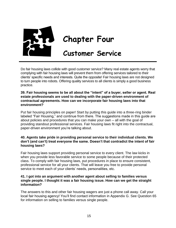

# **Chapter Four**

### **Customer Service**

Do fair housing laws collide with good customer service? Many real estate agents worry that complying with fair housing laws will prevent them from offering services tailored to their clients' specific needs and interests. Quite the opposite! Fair housing laws are not designed to turn people into robots. Offering quality services to all clients is simply a good business practice.

### **39. Fair housing seems to be all about the "intent" of a buyer, seller or agent. Real estate professionals are used to dealing with the paper-driven environment of contractual agreements. How can we incorporate fair housing laws into that environment?**

Put fair housing principles on paper! Start by putting this guide into a three-ring binder labeled "Fair Housing," and continue from there. The suggestions made in this guide are about policies and procedures that you can make your own – all with the goal of providing standout professional services. Fair housing laws fit right into the contractual, paper-driven environment you're talking about.

### **40. Agents take pride in providing personal service to their individual clients. We don't (and can't) treat everyone the same. Doesn't that contradict the intent of fair housing laws?**

Fair housing laws support providing personal service to every client. The law kicks in when you provide less favorable service to some people because of their protected class. To comply with fair housing laws, put procedures in place to ensure consistent, professional service for all your clients. That will leave you free to provide personal service to meet each of your clients' needs, personalities, etc.

### **41. I got into an argument with another agent about selling to families versus single people. I thought it was a fair housing issue. How can we get the straight information?**

The answers to this and other fair housing wagers are just a phone call away. Call your local fair housing agency! You'll find contact information in Appendix G. See Question 65 for information on selling to families versus single people.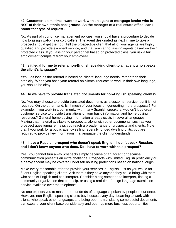### **42. Customers sometimes want to work with an agent or mortgage lender who is NOT of their own ethnic background. As the manager of a real estate office, can I honor that type of request?**

No. As part of your office management policies, you should have a procedure to decide how to assign walk-ins or cold callers. The agent designated as next in line to take a prospect should get the nod. Tell the prospective client that all of your agents are highly qualified and provide excellent service, and that you cannot assign agents based on their protected class. If you assign your personnel based on protected class, you risk a fair employment complaint from your employee!

### **43. Is it legal for me to refer a non-English speaking client to an agent who speaks the client's language?**

Yes – as long as the referral is based on clients' language needs, rather than their ethnicity. When you base your referral on clients' requests to work in their own language, you should be okay.

### **44. Do we have to provide translated documents for non-English speaking clients?**

No. You may choose to provide translated documents as a customer service, but it is not required. On the other hand, isn't much of your focus on generating more prospects? For example, if you work in a community with many Spanish speakers, wouldn't it be great customer service to provide translations of your basic information and home buying resources? General home buying information already exists in several languages. Making that material available to prospects, along with other documents, such as your prospect questionnaire, helps you reach a broader range of prospects and clients. Note that if you work for a public agency selling federally funded dwelling units, you are required to provide key information in a language the client understands.

### **45. I have a Russian prospect who doesn't speak English. I don't speak Russian, and I don't know anyone who does. Do I have to work with this prospect?**

Yes! You cannot turn away prospects simply because of an accent or because communication presents an extra challenge. Prospects with limited English proficiency or a heavy accent may be covered under fair housing protections based on national origin.

Make every reasonable effort to provide your services in English, just as you would for fluent English-speaking clients. Ask them if they have anyone they could bring with them who speaks English and can interpret. Consider hiring someone to interpret, finding a community organization that can help, or using a real-time foreign language translation service available over the telephone.

No one expects you to master the hundreds of languages spoken by people in our state. However, non-English speaking clients buy houses every day. Learning to work with clients who speak other languages and being open to translating some useful documents can expand your client base considerably and open up more business opportunities.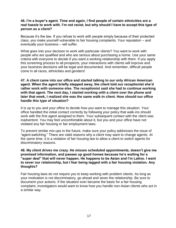### **46. I'm a buyer's agent. Time and again, I find people of certain ethnicities are a real hassle to work with. I'm not racist, but why should I have to accept this type of person as a client?**

Because it's the law. If you refuse to work with people simply because of their protected class, you make yourself vulnerable to fair housing complaints. Your reputation – and eventually your business – will suffer.

What goes into your decision to work with particular clients? You want to work with people who are qualified and who are serious about purchasing a home. Use your same criteria with everyone to decide if you want a working relationship with them. If you apply this screening process to all prospects, your interactions with clients will improve and your business decisions will be legal and documented. And remember, difficult people come in all races, ethnicities and genders!

**47. A client came into our office and started talking to our only African American agent. When the agent briefly stepped away, the client told our receptionist she'd rather work with someone else. The receptionist said she had to continue working with that agent. The next day, I started working with a client over the phone and later that week, I realized she was the same walk-in client. How should our office handle this type of situation?**

It is up to you and your office to decide how you want to manage this situation. Your office handled the initial contact correctly by following your policy that walk-ins should work with the first agent assigned to them. Your subsequent contact with the client was inadvertent. You may feel uncomfortable about it, but you and your office have not violated any fair housing or fair employment laws.

To prevent similar mix-ups in the future, make sure your policy addresses the issue of "agent-switching." There are valid reasons why a client may want to change agents. At the same time, it is a violation of fair housing law to allow a client to switch agents for discriminatory reasons.

### **48. My client drives me crazy. He misses scheduled appointments, doesn't give me promised information, and passes up good homes because he's waiting for a "super deal" that will never happen. He happens to be Asian and I'm Latino. I want to sever our relationship, but I fear being tagged with a fair housing violation. Any thoughts?**

Fair housing laws do not require you to keep working with problem clients. As long as your motivation is not discriminatory, go ahead and sever the relationship. Be sure to document your actions. If the situation ever became the basis for a fair housing complaint, investigators would want to know how you handle non-Asian clients who act in a similar way.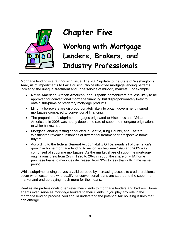

# **Chapter Five**

**Working with Mortgage Lenders, Brokers, and Industry Professionals**

Mortgage lending is a fair housing issue. The 2007 update to the State of Washington's Analysis of Impediments to Fair Housing Choice identified mortgage lending patterns indicating the unequal treatment and underservice of minority markets. For example:

- Native American, African American, and Hispanic homebuyers are less likely to be approved for conventional mortgage financing but disproportionately likely to obtain sub-prime or predatory mortgage products.
- Minority borrowers are disproportionately likely to obtain government insured mortgages compared to conventional financing.
- The proportion of subprime mortgages originated to Hispanics and African-Americans in 2005 was nearly double the rate of subprime mortgage originations to white borrowers.
- Mortgage lending testing conducted in Seattle, King County, and Eastern Washington revealed instances of differential treatment of prospective home buyers.
- According to the federal General Accountability Office, nearly all of the nation's growth in home mortgage lending to minorities between 1996 and 2005 was comprised of subprime mortgages. As the market share of subprime mortgage originations grew from 2% in 1996 to 26% in 2005, the share of FHA home purchase loans to minorities decreased from 32% to less than 7% in the same period.

While subprime lending serves a valid purpose by increasing access to credit, problems occur when customers who qualify for conventional loans are steered to the subprime market and end up paying much more for their loans.

Real estate professionals often refer their clients to mortgage lenders and brokers. Some agents even serve as mortgage brokers to their clients. If you play any role in the mortgage lending process, you should understand the potential fair housing issues that can emerge.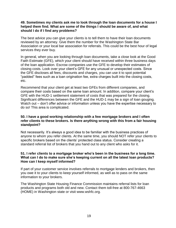### **49. Sometimes my clients ask me to look through the loan documents for a house I helped them find. What are some of the things I should be aware of, and what should I do if I find any problems?**

The best advice you can give your clients is to tell them to have their loan documents reviewed by an attorney. Give them the number for the Washington State Bar Association or your local bar association for referrals. This could be the best hour of legal services they ever buy.

In general, when you are looking through loan documents, take a close look at the Good Faith Estimate (GFE), which your client should have received within three business days of the loan application. Escrow companies use the GFE to develop their estimates of closing costs. Look over your client's GFE for any unusual or unexpected costs. Since the GFE discloses all fees, discounts and charges, you can use it to spot potential "padded" fees such as a loan origination fee, extra charges built into the closing costs, etc.

Recommend that your client get at least two GFEs from different companies, and compare their costs based on the same loan amount. In addition, compare your client's GFE with the HUD-1 settlement statement of costs that was prepared for the closing. Significant differences between the GFE and the HUD-1 may be a sign of loan gouging. Watch out – don't offer advice or information unless you have the expertise necessary to do so! This area is complicated.

### **50. I have a good working relationship with a few mortgage brokers and I often refer clients to these brokers. Is there anything wrong with this from a fair housing standpoint?**

Not necessarily. It's always a good idea to be familiar with the business practices of anyone to whom you refer clients. At the same time, you should NOT refer your clients to specific brokers based on the clients' protected class status. Consider creating a standard referral list of brokers that you hand out to any client who asks for it.

### **51. I refer clients to a mortgage broker who's been in the business for a long time. What can I do to make sure she's keeping current on all the latest loan products? How can I keep myself informed?**

If part of your customer service involves referrals to mortgage lenders and brokers, then you owe it to your clients to keep yourself informed, as well as to pass on the same information to your brokers.

The Washington State Housing Finance Commission maintains referral lists for loan products and programs both old and new. Contact them toll-free at 800-767-4663 (HOME) in Washington state or visit www.wshfc.org.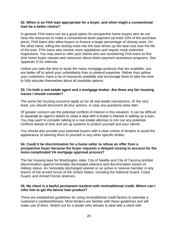### **52. When is an FHA loan appropriate for a buyer, and when might a conventional loan be a better choice?**

In general, FHA loans can be a good option for prospective home buyers who do not have the resources to make a conventional down payment (at least 10% of the purchase price). FHA loans also allow buyers to finance a larger percentage of closing costs. On the other hand, rolling the closing costs into the loan drives up the total cost over the life of the loan. FHA loans also involve more regulations and require more extensive inspections. You may want to refer your clients who are considering FHA loans to first time home buyer classes and resources about down payment assistance programs. See Appendix D for referrals.

Unless you take the time to study the many mortgage products that are available, you are better off to admit your unfamiliarity than to pretend expertise. Rather than advise your customers, have a list of resources available and encourage them to take the time to fully educate themselves about all available options.

### **53. I'm both a real estate agent and a mortgage broker. Are there any fair housing issues I should consider?**

The same fair housing concerns apply as for all real estate transactions. At the very least, you should document all your actions, in case any questions arise later.

Of greater concern are the potential conflicts of interest in this situation. It can be difficult to separate an agent's desire to close a deal with a broker's interest in setting up a loan. You may want to consider talking to a real estate attorney to iron out any potential conflicts ahead of time and set up systems to protect yourself and your clients.

You should also provide your potential buyers with a clear choice of lenders to avoid the appearance of steering them to yourself or any other specific broker.

### **54. Could it be discrimination for a home seller to refuse an offer from a prospective buyer because the buyer requests a delayed closing to account for the more-complicated VA mortgage approval process?**

The fair housing laws for Washington state, City of Seattle and City of Tacoma prohibit discrimination against honorably discharged veterans and discrimination based on military status. An honorably discharged veteran or an active or reserve member in any branch of the armed forces of the United States, including the National Guard, Coast Guard, and Armed Forces reserves.

### **55. My client is a lawful permanent resident with nontraditional credit. Where can I refer him to get the fairest loan product?**

There are established guidelines for using nontraditional credit factors to estimate a customer's creditworthiness. Most lenders are familiar with these guidelines and will make use of them. Watch out for a lender who refuses to deal with a client with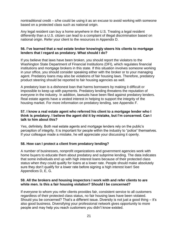nontraditional credit – s/he could be using it as an excuse to avoid working with someone based on a protected class such as national origin.

Any legal resident can buy a home anywhere in the U.S. Treating a legal resident differently than a U.S. citizen can lead to a complaint of illegal discrimination based on national origin. Refer your client to the resources in Appendix D.

### **56. I've learned that a real estate broker knowingly steers his clients to mortgage lenders that I regard as predatory. What should I do?**

If you believe that laws have been broken, you should report the violators to the Washington State Department of Financial Institutions (DFI), which regulates financial institutions and mortgage brokers in this state. If this situation involves someone working in your office, you should consider speaking either with the broker or to your managing agent. Predatory loans may also be violations of fair housing laws. Therefore, predatory product steering should be reported to fair housing agencies as well.

A predatory loan is a dishonest loan that harms borrowers by making it difficult or impossible to keep up with payments. Predatory lending threatens the reputation of everyone in the industry. In addition, lawsuits have been filed against predatory lenders. Real estate agents have a vested interest in helping to support the integrity of the housing market. For more information on predatory lending, see Appendix F.

### **57. I know a real estate agent who referred his client to a mortgage lender who I think is predatory. I believe the agent did it by mistake, but I'm concerned. Can I talk to him about this?**

Yes, definitely. Both real estate agents and mortgage lenders rely on the public's perception of integrity. It is important for people within the industry to "police" themselves. If your colleague made a mistake, he will appreciate your discussing it openly.

### **58. How can I protect a client from predatory lending?**

A number of businesses, nonprofit organizations and government agencies work with home buyers to educate them about predatory and subprime lending. The data indicates that some individuals end up with high interest loans because of their protected class status when they could qualify for loans at a lower rate. People should make absolutely sure they don't qualify for a lower rate before signing a high interest loan! See Appendices D, E, G.

### **59. All the brokers and housing inspectors I work with and refer clients to are white men. Is this a fair housing violation? Should I be concerned?**

If everyone to whom you refer clients provides fair, consistent service to all customers regardless of their protected class status, no fair housing laws have been violated. Should you be concerned? That's a different issue. Diversity is not just a good thing – it's also good business. Diversifying your professional network gives opportunity to more people and may help you reach customers you didn't know existed.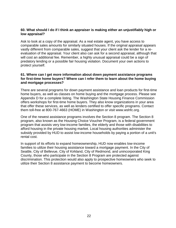### **60. What should I do if I think an appraiser is making either an unjustifiably high or low appraisal?**

Ask to look at a copy of the appraisal. As a real estate agent, you have access to comparable sales amounts for similarly situated houses. If the original appraisal appears vastly different from comparable sales, suggest that your client ask the lender for a reevaluation of the appraisal. Your client also can ask for a second appraisal, although that will cost an additional fee. Remember, a highly unusual appraisal could be a sign of predatory lending or a possible fair housing violation. Document your own actions to protect yourself.

### **61. Where can I get more information about down payment assistance programs for first-time home buyers? Where can I refer them to learn about the home buying and mortgage processes?**

There are several programs for down payment assistance and loan products for first-time home buyers, as well as classes on home buying and the mortgage process. Please see Appendix D for a complete listing. The Washington State Housing Finance Commission offers workshops for first-time home buyers. They also know organizations in your area that offer these services, as well as lenders certified to offer specific programs. Contact them toll-free at 800-767-4663 (HOME) in Washington or visit www.wshfc.org.

One of the newest assistance programs involves the Section 8 program. The Section 8 program, also known as the Housing Choice Voucher Program, is a federal government program that assists very low-income families, the elderly and those with disabilities to afford housing in the private housing market. Local housing authorities administer the subsidy provided by HUD to assist low-income households by paying a portion of a unit's rental cost.

In support of its efforts to expand homeownership, HUD now enables low-income families to utilize their housing assistance toward a mortgage payment. In the City of Seattle, City of Bellevue, City of Kirkland, City of Redmond, and unincorporated King County, those who participate in the Section 8 Program are protected against discrimination. This protection would also apply to prospective homeowners who seek to utilize their Section 8 assistance payment to become homeowners.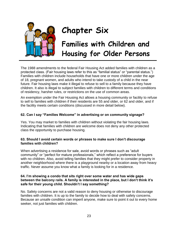

# **Chapter Six**

# **Families with Children and Housing for Older Persons**

The 1988 amendments to the federal Fair Housing Act added families with children as a protected class. (Fair housing laws refer to this as "familial status" or "parental status.") Families with children include households that have one or more children under the age of 18, pregnant women, and adults who intend to take custody of a child in the near future. Fair housing laws make it illegal to refuse to sell to a family because they have children. It also is illegal to subject families with children to different terms and conditions of residency, harsher rules, or restrictions on the use of common areas.

An exemption under the Fair Housing Act allows a housing community or facility to refuse to sell to families with children if their residents are 55 and older, or 62 and older, and if the facility meets certain conditions (discussed in more detail below).

### **62. Can I say "Families Welcome" in advertising or on community signage?**

Yes. You may market to families with children without violating the fair housing laws. Indicating that families with children are welcome does not deny any other protected class the opportunity to purchase housing.

### **63. Should I avoid certain words or phrases to make sure I don't discourage families with children?**

When advertising a residence for sale, avoid words or phrases such as "adult community" or "perfect for mature professionals," which reflect a preference for buyers with no children. Also, avoid telling families that they might prefer to consider property in another neighborhood where there is a playground nearby or a location away from heavy traffic. Never assume you know what a family is looking for in a residence.

### **64. I'm showing a condo that sits right over some water and has wide gaps between the balcony rails. A family is interested in the place, but I don't think it's safe for their young child. Shouldn't I say something?**

No. Safety concerns are not a valid reason to deny housing or otherwise to discourage families with children. It is up to the family to decide how to deal with safety concerns. Because an unsafe condition can imperil anyone, make sure to point it out to every home seeker, not just families with children.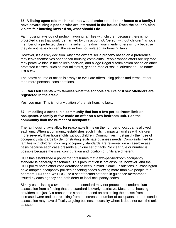### **65. A listing agent told me her clients would prefer to sell their house to a family. I have several single people who are interested in the house. Does the seller's plan violate fair housing laws? If so, what should I do?**

Fair housing laws do not prohibit favoring families with children because there is no protected class that would be harmed by this action. (A "person without children" is not a member of a protected class). If a seller turns down your clients' offers simply because they do not have children, the seller has not violated fair housing laws.

However, it's a risky decision. Any time owners sell a property based on a preference, they leave themselves open to fair housing complaints. People whose offers are rejected may perceive bias in the seller's decision, and allege illegal discrimination based on other protected classes, such as marital status, gender, race or sexual orientation – to name just a few.

The safest course of action is always to evaluate offers using prices and terms, rather than more personal considerations.

### **66. Can I tell clients with families what the schools are like or if sex offenders are registered in the area?**

Yes, you may. This is not a violation of the fair housing laws.

### **67. I'm selling a condo in a community that has a two-per-bedroom limit on occupants. A family of five made an offer on a two-bedroom unit. Can the community limit the number of occupants?**

The fair housing laws allow for reasonable limits on the number of occupants allowed in each unit. When a community establishes such limits, it impacts families with children more severely than households without children. Communities must justify their use of occupancy standards by demonstrating legitimate business needs. Complaints filed by families with children involving occupancy standards are reviewed on a case-by-case basis because each case presents a unique set of facts. No clear rule or number is possible because the size, configuration and location of units are different.

HUD has established a policy that presumes that a two-per-bedroom occupancy standard is generally reasonable. This presumption is not absolute, however, and the HUD policy notes other considerations to keep in mind. Some jurisdictions in Washington have adopted occupancy policies or zoning codes allowing more than two people to a bedroom. HUD and WSHRC use a set of factors set forth in guidance memoranda issued by each agency and both defer to local occupancy codes.

Simply establishing a two-per-bedroom standard may not protect the condominium association from a finding that the standard is overly restrictive. Most rental housing providers can justify a reasonable standard based on protecting their asset from increased wear and tear resulting from an increased number of occupants, but the condo association may have difficulty arguing business necessity where it does not own the unit at issue.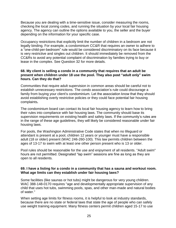Because you are dealing with a time-sensitive issue, consider measuring the rooms, checking the local zoning codes, and running the situation by your local fair housing agency. The agency can outline the options available to you, the seller and the buyer depending on the information for your specific case.

Occupancy restrictions that explicitly limit the number of children in a bedroom are not legally binding. For example, a condominium CC&R that requires an owner to adhere to a "one-child-per-bedroom" rule would be considered discriminatory on its face because it is very restrictive and singles out children. It should immediately be removed from the CC&Rs to avoid any potential complaint of discrimination by families trying to buy or lease in the complex. See Question 32 for more details.

### **68. My client is selling a condo in a community that requires that an adult be present when children under 18 use the pool. They also post "adult only" swim hours. Can they do that?**

Communities that require adult supervision in common areas should be careful not to establish unnecessary restrictions. The condo association's rule could discourage a family from buying your client's condominium. Let the association know that they should avoid establishing overly restrictive policies or they could face potential fair housing complaints**.** 

The condominium board can contact its local fair housing agency to learn how to bring their rules into compliance with fair housing laws. The community should base its supervision requirements on existing health and safety laws. If the community's rules are in the range of these age guidelines, they will likely be considered reasonable under fair housing laws.

For pools, the Washington Administrative Code states that when no lifeguard or attendant is present at a pool, children 12 years or younger must have a responsible adult (18 or older) present (WAC 246-260-100). This law permits children between the ages of 13-17 to swim with at least one other person present who is 13 or older.

Pool rules should be reasonable for the use and enjoyment of all residents. "Adult swim" hours are not permitted. Designated "lap swim" sessions are fine as long as they are open to all residents.

### **69. I have a listing for a condo in a community that has a sauna and workout room. What age limits can they establish under fair housing laws?**

Some facilities (like saunas or hot tubs) might be dangerous for very young children. WAC 388-148-0170 requires "age and developmentally appropriate supervision of any child that uses hot tubs, swimming pools, spas, and other man-made and natural bodies of water."

When setting age limits for fitness rooms, it is helpful to look at industry standards, because there are no state or federal laws that state the age of people who can safely use weight training equipment. Many fitness centers permit children aged 15-17 to use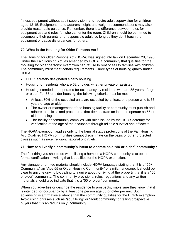fitness equipment without adult supervision, and require adult supervision for children aged 13-15. Equipment manufacturers' height and weight recommendations may also provide reasonable guidance. Remember, there is a difference between rules for equipment use and rules for who can enter the room. Children should be permitted to accompany their parents or a responsible adult, so long as they don't touch the equipment or cause disturbances for others.

### **70. What is the Housing for Older Persons Act?**

The Housing for Older Persons Act (HOPA) was signed into law on December 28, 1995. Under the Fair Housing Act, as amended by HOPA, a community that qualifies for the "housing for older persons" exemption can refuse to rent or sell to families with children. The community must meet certain requirements. Three types of housing qualify under HOPA:

- HUD Secretary designated elderly housing
- Housing for residents who are 62 or older, whether private or assisted
- Housing intended and operated for occupancy by residents who are 55 years of age or older. For 55 or older housing, the following criteria must be met:
	- At least 80% of the occupied units are occupied by at least one person who is 55 years of age or older
	- The owner or management of the housing facility or community must publish and adhere to policies and procedures that demonstrate an intent to operate as 55 or older housing
	- The facility or community complies with rules issued by the HUD Secretary for verification of the age of the occupants through reliable surveys and affidavits.

The HOPA exemption applies only to the familial status protections of the Fair Housing Act. Qualified HOPA communities cannot discriminate on the basis of other protected classes such as race, religion, national origin, etc.

### **71. How can I verify a community's intent to operate as a "55 or older" community?**

The first thing you should do when listing a home in a HOPA community is to obtain formal certification in writing that it qualifies for the HOPA exemption.

Any signage or printed material should include HOPA language stating that it is a "55+ Community," an "Age 55 or Older Housing Community" or similar language. It should be clear to anyone driving by, calling to inquire about, or living at the property that it is a "55 or older" community. The community provisions, rules, regulations and any written materials should also indicate that it is a "55 or older" community.

When you advertise or describe the residence to prospects, make sure they know that it is intended for occupancy by at least one person age 55 or older per unit. Such advertising is affirmative evidence that the community qualifies for the HOPA exemption. Avoid using phrases such as "adult living" or "adult community" or telling prospective buyers that it is an "adults only" community.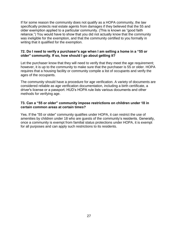If for some reason the community does not qualify as a HOPA community, the law specifically protects real estate agents from damages if they believed that the 55 and older exemption applied to a particular community. (This is known as "good faith reliance.") You would have to show that you did not actually know that the community was ineligible for the exemption, and that the community certified to you formally in writing that it qualified for the exemption.

### **72. Do I need to verify a purchaser's age when I am selling a home in a "55 or older" community. If so, how should I go about getting it?**

Let the purchaser know that they will need to verify that they meet the age requirement; however, it is up to the community to make sure that the purchaser is 55 or older. HOPA requires that a housing facility or community compile a list of occupants and verify the ages of the occupants.

The community should have a procedure for age verification. A variety of documents are considered reliable as age verification documentation, including a birth certificate, a driver's license or a passport. HUD's HOPA rule lists various documents and other methods for verifying age.

### **73. Can a "55 or older" community impose restrictions on children under 18 in certain common areas at certain times?**

Yes. If the "55 or older" community qualifies under HOPA, it can restrict the use of amenities by children under 18 who are guests of the community's residents. Generally, once a community is exempt from familial status protections under HOPA, it is exempt for all purposes and can apply such restrictions to its residents.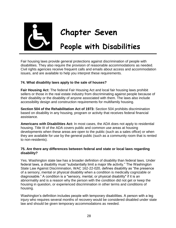

# **Chapter Seven**

## **People with Disabilities**

Fair housing laws provide general protections against discrimination of people with disabilities. They also require the provision of reasonable accommodations as needed. Civil rights agencies receive frequent calls and emails about access and accommodation issues, and are available to help you interpret these requirements.

### **74. What disability laws apply to the sale of houses?**

**Fair Housing Act:** The federal Fair Housing Act and local fair housing laws prohibit sellers or those in the real estate industry from discriminating against people because of their disability or the disability of anyone associated with them. The laws also include accessibility design and construction requirements for multifamily housing.

**Section 504 of the Rehabilitation Act of 1973:** Section 504 prohibits discrimination based on disability in any housing, program or activity that receives federal financial assistance.

**Americans with Disabilities Act:** In most cases, the ADA does not apply to residential housing. Title III of the ADA covers public and common use areas at housing developments when these areas are open to the public (such as a sales office) or when they are available for use by the general public (such as a community room that is rented to non-residents).

### **75. Are there any differences between federal and state or local laws regarding disability?**

Yes. Washington state law has a broader definition of disability than federal laws. Under federal laws, a disability must "substantially limit a major life activity." The Washington State Law Against Discrimination, WAC 162-22-020, defines disability as "the presence of a sensory, mental or physical disability when a condition is medically cognizable or diagnosable." A condition is a "sensory, mental, or physical disability" if it is an abnormality and is a reason why the person with the condition did not get or keep the housing in question, or experienced discrimination in other terms and conditions of housing.

Washington's definition includes people with temporary disabilities. A person with a leg injury who requires several months of recovery would be considered disabled under state law and should be given temporary accommodations as needed.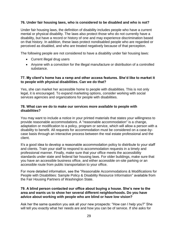### **76. Under fair housing laws, who is considered to be disabled and who is not?**

Under fair housing laws, the definition of disability includes people who have a current mental or physical disability. The laws also protect those who do not currently have a disability, but have a record or history of one and may experience discrimination based on that history. In addition, these laws protect nondisabled people who are regarded or perceived as disabled, and who are treated negatively because of that perception.

The following people are not considered to have a disability under fair housing laws:

- Current illegal drug users
- Anyone with a conviction for the illegal manufacture or distribution of a controlled substance.

### **77. My client's home has a ramp and other access features. She'd like to market it to people with physical disabilities. Can we do that?**

Yes, she can market her accessible home to people with disabilities. This is not only legal, it is encouraged. To expand marketing options, consider working with social services agencies and organizations for people with disabilities.

### **78. What can we do to make our services more available to people with disabilities?**

You may want to include a notice in your printed materials that states your willingness to provide reasonable accommodations. A "reasonable accommodation" is a change, adaptation or modification to a policy, program or service, which will allow a person with a disability to benefit. All requests for accommodation must be considered on a case-bycase basis through an interactive process between the real estate professional and the client.

It's a good idea to develop a reasonable accommodation policy to distribute to your staff and clients. Train your staff to respond to accommodation requests in a timely and professional manner. Finally, make sure that your office meets the accessibility standards under state and federal fair housing laws. For older buildings, make sure that you have an accessible business office, and either accessible on-site parking or an accessible route from public transportation to your office.

For more detailed information, see the "Reasonable Accommodations & Modifications for People with Disabilities: Sample Policy & Disability Resource Information" available from the Fair Housing Partners of Washington State.

### **79. A blind person contacted our office about buying a house. She's new to the area and wants us to show her several different neighborhoods. Do you have advice about working with people who are blind or have low vision?**

Ask her the same question you ask all your new prospects: "How can I help you?" She will tell you exactly what her needs are and how you can be of service. If she asks for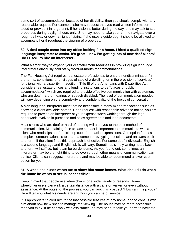some sort of accommodation because of her disability, then you should comply with any reasonable request. For example, she may request that you read written information aloud or provide it in large print. If her vision is better during the day, she may ask to see properties during daylight hours only. She may need to take your arm to navigate over a rough pathway or down a flight of stairs. If she uses a guide dog, it should be allowed to accompany her throughout the viewing of properties.

### **80. A deaf couple came into my office looking for a home. I hired a qualified sign language interpreter to assist. It's great – now I'm getting lots of new deaf clients! Did I HAVE to hire an interpreter?**

What a smart way to expand your clientele! Your readiness in providing sign language interpreters obviously paid off by word-of-mouth recommendations.

The Fair Housing Act requires real estate professionals to ensure nondiscrimination "in the terms, conditions, or privileges of sale of a dwelling, or in the provision of services" for clients with a disability. In addition, Title III of the Americans with Disabilities Act considers real estate offices and lending institutions to be "places of public accommodation" which are required to provide effective communication with customers who are deaf, hard of hearing, or speech disabled. The level of communication needed will vary depending on the complexity and confidentiality of the topics of conversation.

A sign language interpreter might not be necessary in many minor transactions such as showing a client available homes. Upon request with reasonable advance notice, you are required to provide an interpreter at your expense when working through the legal paperwork involved in purchase and sales agreements and loan documents.

Most clients who are deaf or hard of hearing will alert you to the best method of communication. Maintaining face-to-face contact is important to communicate with a client who reads lips and/or picks up cues from facial expressions. One option for less complex communications is to share a computer by typing questions and answers back and forth, if the client finds this approach is effective. For some deaf individuals, English is a second language and English skills will vary. Sometimes simply writing notes back and forth will suffice, but it can be burdensome. As you found out, sometimes an interpreter may be the right thing to do even though other means of communication can suffice. Clients can suggest interpreters and may be able to recommend a lower cost option for you!

### **81. A wheelchair user wants me to show him some homes. What should I do when the home he wants to see is inaccessible?**

Keep in mind that people use wheelchairs for a wide variety of reasons. Some wheelchair users can walk a certain distance with a cane or walker, or even without assistance. At the outset of the process, you can ask this prospect "How can I help you?" He will tell you what his needs are and how you can be of service.

It is appropriate to alert him to the inaccessible features of any home, and to consult with him about how he wishes to manage the viewing. The house may be more accessible than you think. If he can walk with assistance, he may need to take your arm to navigate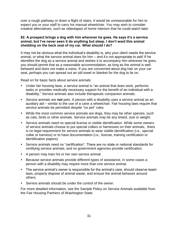over a rough pathway or down a flight of stairs. It would be unreasonable for him to expect you or your staff to carry his manual wheelchair. You may wish to consider creative alternatives, such as videotapes of home interiors that he could watch later.

### **82. A prospect brings a dog with him wherever he goes. He says it's a service animal, but I've never seen it do anything but sleep. I don't want this animal shedding on the back seat of my car. What should I do?**

It may not be obvious what the individual's disability is, why your client needs the service animal, or what the service animal does for him – and it's not appropriate to ask! If he identifies the dog as a service animal and wishes it to accompany him wherever he goes, you should permit that as a reasonable accommodation, as long as the animal is well behaved and does not make a mess. If you are concerned about dog hair on your car seat, perhaps you can spread out an old towel or blanket for the dog to lie on.

Read on for basic facts about service animals:

- Under fair housing laws, a service animal is "an animal that does work, performs tasks or provides medically necessary support for the benefit of an individual with a disability." Service animals also include therapeutic companion animals.
- Service animals are **not** pets. A person with a disability uses a service animal as an auxiliary aid – similar to the use of a cane a wheelchair. Fair housing laws require that service animals be permitted despite "no pet" rules.
- While the most common service animals are dogs, they may be other species, such as cats, birds or other animals. Service animals may be any breed, size or weight.
- Service animals need no special license or visible identification. While some owners of service animals choose to put special collars or harnesses on their animals, there is no legal requirement for service animals to wear visible identification (i.e., special collar or harness) or to have documentation (i.e., license, training certification or identification papers).
- Service animals need no "certification". There are no state or national standards for certifying service animals, and no government agencies provide certification.
- A person may train his or her own service animal.
- Because service animals provide different types of assistance, in some cases a person with a disability may require more than one service animal.
- The service animal's owner is responsible for the animal's care, should observe leash laws, properly dispose of animal waste, and ensure the animal behaves around others.
- Service animals should be under the control of the owner.

For more detailed information, see the Sample Policy on Service Animals available from the Fair Housing Partners of Washington State.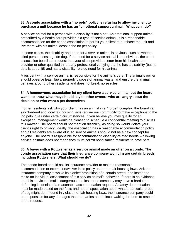### **83. A condo association with a "no pets" policy is refusing to allow my client to purchase a unit because he has an "emotional support animal." What can I do?**

A service animal for a person with a disability is not a pet. An emotional support animal prescribed by a health care provider is a type of service animal. It is a reasonable accommodation for the condo association to permit your client to purchase the unit and live there with his animal despite the no pet policy.

In some cases, the disability and need for a service animal is obvious, such as when a blind person uses a guide dog. If the need for a service animal is not obvious, the condo association board can request that your client provide a letter from his health care provider or other qualified third party professional verifying that he has a disability (but no details about it!) and has a disability-related need for his animal.

A resident with a service animal is responsible for the animal's care. The animal's owner should observe leash laws, properly dispose of animal waste, and ensure the animal behaves around other residents and does not break noise rules.

### **84. A homeowners association let my client have a service animal, but the board wants to know what they should say to other owners who are angry about the decision or who want a pet themselves.**

If other residents ask why your client has an animal in a "no pet" complex, the board can say "Federal and local fair housing laws require our community to make exceptions to the 'no pets' rule under certain circumstances. If you believe you may qualify for an exception, management would be pleased to schedule a confidential meeting to discuss this matter." The board should not mention disability, as doing so would violate your client's right to privacy. Ideally, the association has a reasonable accommodation policy and all residents are aware of it, so service animals should not be a new concept for anyone. The board is responsible for accommodating disability-related needs – allowing service animals does not mean they must permit nondisabled residents to have pets.

### **85. A buyer with a Rottweiler as a service animal made an offer on a condo. The condo association says that their insurance company won't insure certain breeds, including Rottweilers. What should we do?**

The condo board should ask its insurance provider to make a reasonable accommodation or exemption/waiver in its policy under the fair housing laws. Ask the insurance company to waive its blanket prohibition of a certain breed, and instead to make an individual assessment of this service animal's behavior. If there is no evidence that this service animal is dangerous, the insurance company may have a hard time defending its denial of a reasonable accommodation request. A safety determination must be made based on the facts and not on speculation about what a particular breed of dog might do. If found in violation of fair housing laws, the insurance company could be responsible for any damages that the parties had to incur waiting for them to respond to the request.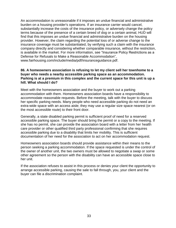An accommodation is unreasonable if it imposes an undue financial and administrative burden on a housing provider's operations. If an insurance carrier would cancel, substantially increase the costs of the insurance policy, or adversely change the policy terms because of the presence of a certain breed of dog or a certain animal, HUD will find that this imposes an undue financial and administrative burden on the housing provider. However, the claim regarding the potential loss of or adverse change to the insurance coverage must be substantiated, by verifying such a claim with the insurance company directly and considering whether comparable insurance, without the restriction, is available in the market. For more information, see "Insurance Policy Restrictions as a Defense for Refusals to Make a Reasonable Accommodation"[,](http://www.fairhousing.com/include/media/pdf/insuranceguidance.pdf) [www.fairhousing.com/include/media/pdf/insuranceguidance.pdf.](http://www.fairhousing.com/include/media/pdf/insuranceguidance.pdf)

#### **86. A homeowners association is refusing to let my client sell her townhome to a buyer who needs a nearby accessible parking space as an accommodation. Parking is at a premium in this complex and the current space for this unit is up a hill. What should I do?**

Meet with the homeowners association and the buyer to work out a parking accommodation with them. Homeowners association boards have a responsibility to accommodate reasonable requests. Before the meeting, talk with the buyer to discuss her specific parking needs. Many people who need accessible parking do not need an extra-wide space with an access aisle; they may use a regular size space nearest (or on the most accessible route) to their front door.

Generally, a state disabled parking permit is sufficient proof of need for a reserved accessible parking space. The buyer should bring the permit or a copy to the meeting. If she has no permit, she can provide the association board with a letter from her health care provider or other qualified third party professional confirming that she requires accessible parking due to a disability that limits her mobility. This is sufficient documentation of her need for the association to act on her accommodation request.

Homeowners association boards should provide assistance within their means to the person seeking a parking accommodation. If the space requested is under the control of the owner of another unit, the two owners must be allowed to negotiate a swap or some other agreement so the person with the disability can have an accessible space close to her unit.

If the association refuses to assist in this process or denies your client the opportunity to arrange accessible parking, causing the sale to fall through, you, your client and the buyer can file a discrimination complaint.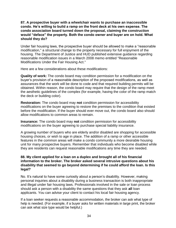### **87. A prospective buyer with a wheelchair wants to purchase an inaccessible condo. He's willing to build a ramp on the front deck at his own expense. The condo association board turned down the proposal, claiming the construction would "deface" the property. Both the condo owner and buyer are on hold. What should they do?**

Under fair housing laws, the prospective buyer should be allowed to make a "reasonable modification," a structural change to the property necessary for full enjoyment of the housing. The Department of Justice and HUD published extensive guidance regarding reasonable modification issues in a March 2008 memo entitled "Reasonable Modifications Under the Fair Housing Act."

Here are a few considerations about these modifications:

**Quality of work:** The condo board may condition permission for a modification on the buyer's provision of a reasonable description of the proposed modifications, as well as assurances that the work will be done to code and that required building permits will be obtained. Within reason, the condo board may require that the design of the ramp meet the aesthetic guidelines of the complex (for example, having the color of the ramp match the deck or building color).

**Restoration:** The condo board may **not** condition permission for accessibility modifications on the buyer agreeing to restore the premises to the condition that existed before the modification. If the buyer should ever move out, the condo board also should allow modifications to common areas to remain.

**Insurance:** The condo board may **not** condition permission for accessibility modifications on the buyer agreeing to purchase special liability insurance.

A growing number of buyers who are elderly and/or disabled are shopping for accessible housing choices, or wish to age in place. The addition of a ramp or other accessible features in the common areas will make a condo community a more desirable housing unit for many prospective buyers. Remember that individuals who become disabled while they are residents can request reasonable modifications any time they are needed.

### **88. My client applied for a loan on a duplex and brought all of his financial information to the broker. The broker asked several intrusive questions about his disability that seemed to go beyond determining if he could afford the loan. Is this legal?**

No. It's natural to have some curiosity about a person's disability. However, making personal inquiries about a disability during a business transaction is both inappropriate and illegal under fair housing laws. Professionals involved in the sale or loan process should ask a person with a disability the same questions that they ask **all** loan applicants. You can advise your client to contact his local fair housing agency.

If a loan seeker requests a reasonable accommodation, the broker can ask what type of help is needed. (For example, if a buyer asks for written materials in large print, the broker can ask what size type would be helpful.)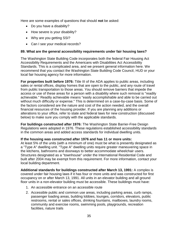Here are some examples of questions that should **not** be asked:

- Do you have a disability?
- How severe is your disability?
- Why are you getting SSI?
- Can I see your medical records?

### **89. What are the general accessibility requirements under fair housing laws?**

The Washington State Building Code incorporates both the federal Fair Housing Act Accessibility Requirements and the Americans with Disabilities Act Accessibility Standards. This is a complicated area, and we present general information here. We recommend that you contact the Washington State Building Code Council, HUD or your local fair housing agency for more information.

**For properties built before 1976:** Title III of the ADA applies to public areas, including sales or rental offices, display homes that are open to the public, and any route of travel from public transportation to those areas. You should remove barriers that impede the access or use of these areas for a person with a disability where such removal is "readily achievable." Readily achievable means "easily accomplishable and able to be carried out without much difficulty or expense." This is determined on a case-by-case basis. Some of the factors considered are the nature and cost of the action needed, and the overall financial resources of the housing provider. If you are planning any additions or alterations to your office, refer to state and federal laws for new construction (discussed below) to make sure you comply with the applicable standards.

**For buildings constructed after 1976:** The Washington State Barrier-Free Design Regulations were adopted in 1976. These regulations established accessibility standards in the common areas and added access standards for individual dwelling units.

### **If the housing was constructed after 1976 and has 11 or more units:**

At least 5% of the units (with a minimum of one) must be what is presently designated as a "Type A" dwelling unit. "Type A" dwelling units require greater maneuvering space in the kitchens, bathrooms and doorways to better accommodate wheelchair users. Structures designated as a "townhouse" under the International Residential Code and built after 2004 may be exempt from this requirement. For more information, contact your local building department.

**Additional standards for buildings constructed after March 13, 1991:** A complex is covered under fair housing laws if it has four or more units and was constructed for first occupancy on or after March 13, 1991. All units in an elevator building and all ground floor units in a non-elevator building must be accessible. These buildings must have:

- 1. An accessible entrance on an accessible route
- 2. Accessible public and common use areas, including parking areas, curb ramps, passenger loading areas, building lobbies, lounges, corridors, elevators, public restrooms, rental or sales offices, drinking fountains, mailboxes, laundry rooms, community and exercise rooms, swimming pools, playgrounds, recreation facilities, nature trails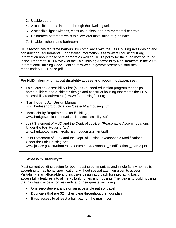- 3. Usable doors
- 4. Accessible routes into and through the dwelling unit
- 5. Accessible light switches, electrical outlets, and environmental controls
- 6. Reinforced bathroom walls to allow later installation of grab bars
- 7. Usable kitchens and bathrooms.

HUD recognizes ten "safe harbors" for compliance with the Fair Housing Act's design and construction requirements. For detailed information, see www.fairhousingfirst.org. Information about these safe harbors as well as HUD's policy for their use may be found in the "Report of HUD Review of the Fair Housing Accessibility Requirements in the 2006 International Building Code," online at www.hud.gov/offices/fheo/disabilities/ modelcodes/IBC-Notice.pdf.



### www.justice.gov/crt/about/hce/documents/reasonable\_modifications\_mar08.pdf

### **90. What is "visitability"?**

Most current building design for both housing communities and single family homes is according to traditional specifications, without special attention given to access. Visitability is an affordable and inclusive design approach for integrating basic accessibility features into all newly built homes and housing. The idea is to build housing that has basic access for residents and their guests, including:

- One zero-step entrance on an accessible path of travel
- Doorways that are 32 inches clear throughout the floor plan
- Basic access to at least a half-bath on the main floor.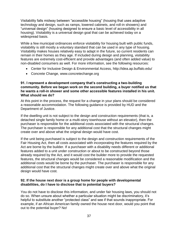Visitability falls midway between "accessible housing" (housing that uses adaptive technology and design, such as ramps, lowered cabinets, and roll-in showers) and "universal design" (housing designed to ensure a basic level of accessibility in all housing). Visitability is a universal design goal that can be achieved today on a widespread basis.

While a few municipal ordinances enforce visitability for housing built with public funds, visitability is still mostly a voluntary standard that can be used in any type of housing. Visitability makes houses relatively easy to adapt in the future, so current residents can remain in their homes as they age. If included during design and planning, visitability features are extremely cost-efficient and provide advantages (and often added value) to non-disabled consumers as well. For more information, see the following resources:

- Center for Inclusive Design & Environmental Access, http://idea.ap.buffalo.edu/
- Concrete Change, www.concretechange.org

#### **91. I represent a development company that's constructing a two-building community. Before we began work on the second building, a buyer notified us that he wants a roll-in shower and some other accessible features installed in his unit. What should we do?**

At this point in the process, the request for a change in your plans should be considered a reasonable accommodation. The following guidance is provided by HUD and the Department of Justice.

If the dwelling unit is not subject to the design and construction requirements (that is, a detached single family home or a multi-story townhouse without an elevator), then the purchaser is responsible for the additional costs associated with the structural changes. The purchaser is responsible for any additional cost that the structural changes might create over and above what the original design would have cost.

If the unit being purchased is subject to the design and construction requirements of the Fair Housing Act, then all costs associated with incorporating the features required by the Act are borne by the builder. If a purchaser with a disability needs different or additional features added to a unit under construction or about to be constructed beyond those already required by the Act, and it would cost the builder more to provide the requested features, the structural changes would be considered a reasonable modification and the additional costs would be borne by the purchaser. The purchaser is responsible for any additional cost that the structural changes might create over and above what the original design would have cost.

### **92. If the house next door is a group home for people with developmental disabilities, do I have to disclose that to potential buyers?**

You do not have to disclose this information, and under fair housing laws, you should not do so. When unsure about whether a particular situation might be discriminatory, it's helpful to substitute another "protected class" and see if that sounds inappropriate. For example, if an African American family owned the house next door, would you point that out to the potential buyer? No!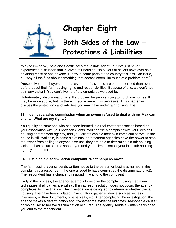

# **Chapter Eight**

# **Both Sides of the Law – Protections & Liabilities**

"Maybe I'm naive," said one Seattle area real estate agent, "but I've just never experienced a situation that involved fair housing. No buyers or sellers have ever said anything racist or anti-anyone. I know in some parts of the country this is still an issue, but why all the fuss about something that doesn't seem like much of a problem here?"

Prospective home buyers and real estate professionals are better informed than ever before about their fair housing rights and responsibilities. Because of this, we don't hear as many blatant "You can't live here" statements as we used to.

Unfortunately, discrimination is still a problem for people trying to purchase homes. It may be more subtle, but it's there. In some areas, it is pervasive. This chapter will discuss the protections and liabilities you may have under fair housing laws.

### **93. I just lost a sales commission when an owner refused to deal with my Mexican clients. What are my rights?**

You qualify as someone who has been harmed in a real estate transaction based on your association with your Mexican clients. You can file a complaint with your local fair housing enforcement agency, and your clients can file their own complaint as well. If the house is still available, in some situations, enforcement agencies have the power to stop the owner from selling to anyone else until they are able to determine if a fair housing violation has occurred. The sooner you and your clients contact your local fair housing agency, the better.

### **94. I just filed a discrimination complaint. What happens now?**

The fair housing agency sends written notice to the person or business named in the complaint as a respondent (the one alleged to have committed the discriminatory act). The respondent has a chance to respond in writing to the complaint.

Early in the process, the agency attempts to resolve the complaint using mediation techniques, if all parties are willing. If an agreed resolution does not occur, the agency completes its investigation. The investigation is designed to determine whether the fair housing laws have been violated. Investigators gather evidence such as witness interviews, written documents, on-site visits, etc. After completing the investigation, the agency makes a determination about whether the evidence indicates "reasonable cause" or "no cause" to believe discrimination occurred. The agency sends a written decision to you and to the respondent.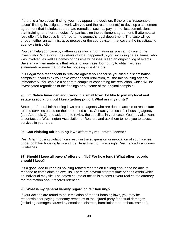If there is a "no cause" finding, you may appeal the decision. If there is a "reasonable cause" finding, investigators work with you and the respondent(s) to develop a settlement agreement that includes appropriate remedies, such as payment of lost commissions, staff training, or other remedies. All parties sign the settlement agreement. If attempts at resolution fail, the case is referred to the agency's legal department. The case will go through either an administrative process or the court system that covers the investigating agency's jurisdiction.

You can help your case by gathering as much information as you can to give to the investigator. Write down the details of what happened to you, including dates, times, who was involved, as well as names of possible witnesses. Keep an ongoing log of events. Save any written materials that relate to your case. Do not try to obtain witness statements – leave that to the fair housing investigators.

It is illegal for a respondent to retaliate against you because you filed a discrimination complaint. If you think you have experienced retaliation, tell the fair housing agency immediately. You can file a separate complaint concerning the retaliation, which will be investigated regardless of the findings or outcome of the original complaint.

### **95. I'm Native American and I work in a small town. I'd like to join my local real estate association, but I keep getting put off. What are my rights?**

State and federal fair housing laws protect agents who are denied access to real estate related services based on their protected class. Contact your local fair housing agency (see Appendix G) and ask them to review the specifics in your case. You may also want to contact the Washington Association of Realtors and ask them to help you to access services in your area.

### **96. Can violating fair housing laws affect my real estate license?**

Yes. A fair housing violation can result in the suspension or revocation of your license under both fair housing laws and the Department of Licensing's Real Estate Disciplinary Guidelines.

### **97. Should I keep all buyers' offers on file? For how long? What other records should I keep?**

It's a good idea to keep all housing-related records on file long enough to be able to respond to complaints or lawsuits. There are several different time periods within which an individual may file. The safest course of action is to consult your real estate attorney for information about records retention.

### **98. What is my general liability regarding fair housing?**

If your actions are found to be in violation of the fair housing laws, you may be responsible for paying monetary remedies to the injured party for actual damages (including damages caused by emotional distress, humiliation and embarrassment),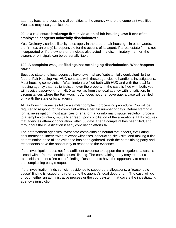attorney fees, and possible civil penalties to the agency where the complaint was filed. You also may lose your license.

### **99. Is a real estate brokerage firm in violation of fair housing laws if one of its employees or agents unlawfully discriminates?**

Yes. Ordinary vicarious liability rules apply in the area of fair housing – in other words, the firm (as an entity) is responsible for the actions of its agent. If a real estate firm is not incorporated or if the owners or principals also acted in a discriminatory manner, the owners or principals can be personally liable.

### **100. A complaint was just filed against me alleging discrimination. What happens now?**

Because state and local agencies have laws that are "substantially equivalent" to the federal Fair Housing Act, HUD contracts with these agencies to handle its investigations. Most housing complaints in Washington are filed both with HUD and with the local fair housing agency that has jurisdiction over the property. If the case is filed with both, you will receive paperwork from HUD as well as from the local agency with jurisdiction. In circumstances where the Fair Housing Act does not offer coverage, a case will be filed only with the state or local agency.

All fair housing agencies follow a similar complaint processing procedure. You will be required to respond to the complaint within a certain number of days. Before starting a formal investigation, most agencies offer a formal or informal dispute resolution process to attempt a voluntary, mutually agreed upon conciliation of the allegations. HUD requires that agencies attempt conciliation within 30 days after a complaint has been filed, and throughout the investigation if early conciliation efforts fail.

The enforcement agencies investigate complaints as neutral fact-finders, evaluating documentation, interviewing relevant witnesses, conducting site visits, and making a final determination once all the evidence has been gathered. Both the complaining party and respondents have the opportunity to respond to the evidence.

If the investigation does not find sufficient evidence to support the allegations, a case is closed with a "no reasonable cause" finding. The complaining party may request a reconsideration of a "no cause" finding. Respondents have the opportunity to respond to the complaining party's request.

If the investigation finds sufficient evidence to support the allegations, a "reasonable cause" finding is issued and referred to the agency's legal department. The case will go through either an administrative process or the court system that covers the investigating agency's jurisdiction.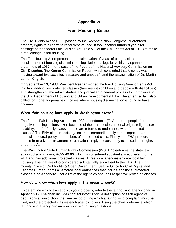### **Appendix A**

### **Fair Housing Basics**

The Civil Rights Act of 1866, passed by the Reconstruction Congress, guaranteed property rights to all citizens regardless of race. It took another hundred years for passage of the federal Fair Housing Act (Title VIII of the Civil Rights Act of 1968) to make a real change in fair housing.

The Fair Housing Act represented the culmination of years of congressional consideration of housing discrimination legislation. Its legislative history spanned the urban riots of 1967, the release of the Report of the National Advisory Commission on Civil Disorders (the Kerner Commission Report, which concluded that America was moving toward two societies, separate and unequal), and the assassination of Dr. Martin Luther King, Jr.

On September 13, 1988, President Reagan signed the Fair Housing Amendments Act into law, adding two protected classes (families with children and people with disabilities) and strengthening the administrative and judicial enforcement process for complaints to the U.S. Department of Housing and Urban Development (HUD). The amended law also called for monetary penalties in cases where housing discrimination is found to have occurred.

### **What fair housing laws apply in Washington state?**

The federal Fair Housing Act and its 1988 amendments (FHA) protect people from negative housing actions taken because of their race, color, national origin, religion, sex, disability, and/or family status – these are referred to under the law as "protected classes." The FHA also protects against the disproportionately harsh impact of an otherwise neutral policy on members of a protected class. Finally, the FHA protects people from adverse treatment or retaliation simply because they exercised their rights under the Act.

The Washington State Human Rights Commission (WSHRC) enforces the state law against discrimination, RCW 49.60, which is considered substantially equivalent to the FHA and has additional protected classes. Three local agencies enforce local fair housing laws that are also considered substantially equivalent to the FHA. The King County Office of Civil Rights & Open Government, Seattle Office for Civil Rights, and Tacoma Human Rights all enforce local ordinances that include additional protected classes. See Appendix G for a list of the agencies and their respective protected classes.

### **How do I know which laws apply in the areas I work?**

To determine which laws apply to your property, refer to the fair housing agency chart in Appendix G. The chart includes contact information, a description of each agency's geographical jurisdiction, the time period during which a fair housing complaint must be filed, and the protected classes each agency covers. Using the chart, determine which fair housing agency can answer your fair housing questions.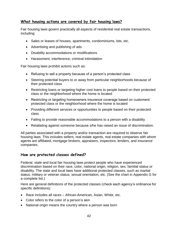### **What housing actions are covered by fair housing laws?**

Fair housing laws govern practically all aspects of residential real estate transactions, including:

- Sales or leases of houses, apartments, condominiums, lots, etc.
- Advertising and publishing of ads
- Disability accommodations or modifications
- Harassment, interference, criminal intimidation

Fair housing laws prohibit actions such as:

- Refusing to sell a property because of a person's protected class
- Steering potential buyers to or away from particular neighborhoods because of their protected class
- Restricting loans or targeting higher cost loans to people based on their protected class or the neighborhood where the home is located
- Restricting or targeting homeowners insurance coverage based on customers' protected class or the neighborhood where the home is located
- Providing different services or opportunities to people based on their protected class
- Failing to provide reasonable accommodations to a person with a disability
- Retaliating against someone because s/he has raised an issue of discrimination.

All parties associated with a property and/or transaction are required to observe fair housing laws. This includes sellers, real estate agents, real estate companies with whom agents are affiliated, mortgage brokers, appraisers, inspectors, lenders, and insurance companies.

### **How are protected classes defined?**

Federal, state and local fair housing laws protect people who have experienced discrimination based on their race, color, national origin, religion, sex, familial status or disability. The state and local laws have additional protected classes, such as marital status, military or veteran status, sexual orientation, etc. (See the chart in Appendix G for a complete list.)

Here are general definitions of the protected classes (check each agency's ordinance for specific definitions):

- Race includes all races African-American, Asian, White, etc.
- Color refers to the color of a person's skin
- National origin means the country where a person was born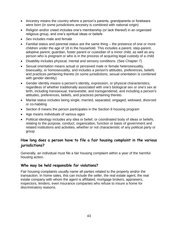- Ancestry means the country where a person's parents, grandparents or forebears were born (in some jurisdictions ancestry is combined with national origin)
- Religion and/or creed includes one's membership (or lack thereof) in an organized religious group, and one's spiritual ideas or beliefs
- Sex includes male and female
- Familial status and parental status are the same thing the presence of one or more children under the age of 18 in the household. This includes a parent, step-parent, adoptive parent, guardian, foster parent or custodian of a minor child, as well as any person who is pregnant or who is in the process of acquiring legal custody of a child
- Disability includes physical, mental and sensory conditions. (See Chapter 7)
- Sexual orientation means actual or perceived male or female heterosexuality, bisexuality, or homosexuality, and includes a person's attitudes, preferences, beliefs and practices pertaining thereto (in some jurisdictions, sexual orientation is combined with gender identity)
- Gender identity means a person's identity, expression, or physical characteristics, regardless of whether traditionally associated with one's biological sex or one's sex at birth, including transsexual, transvestite, and transgendered, and including a person's attitudes, preferences, beliefs, and practices pertaining thereto.
- Marital status includes being single, married, separated, engaged, widowed, divorced or co-habiting
- Section 8 means the person participates in the Section 8 housing program
- Age means individuals of various ages
- Political ideology includes any idea or belief, or coordinated body of ideas or beliefs, relating to the purpose, conduct, organization, function or basis of government and related institutions and activities, whether or not characteristic of any political party or group

### **How long does a person have to file a fair housing complaint in the various jurisdictions?**

Generally, an individual must file a fair housing complaint within a year of the harmful housing action.

### **Who may be held responsible for violations?**

Fair housing complaints usually name all parties related to the property and/or the transaction. In home sales, this can include the seller, the real estate agent, the real estate company with whom the agent is affiliated, mortgage brokers, appraisers, inspectors, lenders, even insurance companies who refuse to insure a home for discriminatory reasons.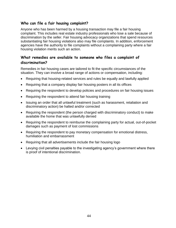### **Who can file a fair housing complaint?**

Anyone who has been harmed by a housing transaction may file a fair housing complaint. This includes real estate industry professionals who lose a sale because of discrimination by the seller. Fair housing advocacy organizations that spend resources substantiating fair housing violations also may file complaints. In addition, enforcement agencies have the authority to file complaints without a complaining party where a fair housing violation merits such an action.

### **What remedies are available to someone who files a complaint of discrimination?**

Remedies in fair housing cases are tailored to fit the specific circumstances of the situation. They can involve a broad range of actions or compensation, including:

- Requiring that housing-related services and rules be equally and lawfully applied
- Requiring that a company display fair housing posters in all its offices
- Requiring the respondent to develop policies and procedures on fair housing issues
- Requiring the respondent to attend fair housing training
- Issuing an order that all unlawful treatment (such as harassment, retaliation and discriminatory action) be halted and/or corrected
- Requiring the respondent (the person charged with discriminatory conduct) to make available the home that was unlawfully denied
- Requiring the respondent to reimburse the complaining party for actual, out-of-pocket damages such as payment of lost commissions
- Requiring the respondent to pay monetary compensation for emotional distress, humiliation and embarrassment
- Requiring that all advertisements include the fair housing logo
- Levying civil penalties payable to the investigating agency's government where there is proof of intentional discrimination.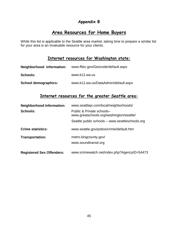### **Appendix B**

### **Area Resources for Home Buyers**

While this list is applicable to the Seattle area market, taking time to prepare a similar list for your area is an invaluable resource for your clients.

### **Internet resources for Washington state:**

| Neighborhood information: | www.ffiec.gov/Geocode/default.aspx   |
|---------------------------|--------------------------------------|
| <b>Schools:</b>           | www.k12.wa.us                        |
| School demographics:      | www.k12.wa.us/DataAdmin/default.aspx |

### **Internet resources for the greater Seattle area:**

| <b>Neighborhood Information:</b> | www.seattlepi.com/local/neighborhoods/                                |  |
|----------------------------------|-----------------------------------------------------------------------|--|
| <b>Schools:</b>                  | Public & Private schools-<br>www.greatschools.org/washington/seattle/ |  |
|                                  | Seattle public schools – www.seattleschools.org                       |  |
| <b>Crime statistics:</b>         | www.seattle.gov/police/crime/default.htm                              |  |
| <b>Transportation:</b>           | metro.kingcounty.gov/<br>www.soundtransit.org                         |  |
| <b>Registered Sex Offenders:</b> | www.icrimewatch.net/index.php?AgencyID=54473                          |  |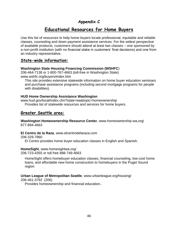### **Appendix C**

### **Educational Resources for Home Buyers**

Use this list of resources to help home buyers locate professional, equitable and reliable classes, counseling and down payment assistance services. For the widest perspective of available products, customers should attend at least two classes – one sponsored by a non-profit institution (with no financial stake in customers' final decisions) and one from an industry representative.

### **State-wide information:**

### **Washington State Housing Financing Commission (WSHFC**)

206-464-7138 or 1-800-767-4663 (toll-free in Washington State) www.wshfc.org/buyers/index.htm

This site provides extensive statewide information on home buyer education seminars and purchase assistance programs (including second mortgage programs for people with disabilities).

### **HUD Home Ownership Assistance Washington**

www.hud.gov/local/index.cfm?state=wa&topic=homeownership Provides list of statewide resources and services for home buyers.

### **Greater Seattle area:**

**Washington Homeownership Resource Center**, www.homeownership-wa.org/ 877-894-4663

**El Centro de la Raza**, www.elcentrodelaraza.com

206-329-7960

El Centro provides home buyer education classes in English and Spanish.

**HomeSight**, www.homesightwa.org/ 206-723-4355 or toll free 888-749-4663

HomeSight offers homebuyer education classes, financial counseling, low-cost home loans, and affordable new home construction to homebuyers in the Puget Sound region

### **Urban League of Metropolitan Seattle**, www.urbanleague.org/housing/

206-461-3792 (206)

Provides homeownership and financial education..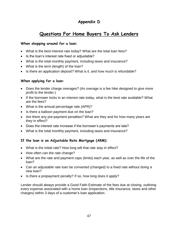### **Appendix D**

### **Questions For Home Buyers To Ask Lenders**

### **When shopping around for a loan:**

- What is the best interest rate today? What are the total loan fees?
- Is the loan's interest rate fixed or adjustable?
- What is the total monthly payment, including taxes and insurance?
- What is the term (length) of the loan?
- Is there an application deposit? What is it, and how much is refundable?

### **When applying for a loan:**

- Does the lender charge overages? (An overage is a fee hike designed to give more profit to the lender.)
- If the borrower locks in an interest rate today, what is the best rate available? What are the fees?
- What is the annual percentage rate (APR)?
- Is there a balloon payment due on the loan?
- Are there any pre-payment penalties? What are they and for how many years are they in effect?
- Does the interest rate increase if the borrower's payments are late?
- What is the total monthly payment, including taxes and insurance?

### **If the loan is an Adjustable Rate Mortgage (ARM):**

- What is the initial rate? How long will that rate stay in effect?
- How often can the rate change?
- What are the rate and payment caps (limits) each year, as well as over the life of the loan?
- Can an adjustable rate loan be converted (changed) to a fixed rate without doing a new loan?
- $\bullet$  Is there a prepayment penalty? If so, how long does it apply?

Lender should always provide a Good Faith Estimate of the fees due at closing, outlining every expense associated with a home loan (inspections, title insurance, taxes and other charges) within 3 days of a customer's loan application.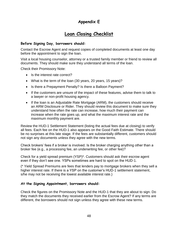### **Appendix E**

### **Loan Closing Checklist**

### **Before Signing Day, borrowers should:**

Contact the Escrow Agent and request copies of completed documents at least one day before the appointment to sign the loan.

Visit a local housing counselor, attorney or a trusted family member or friend to review all documents. They should make sure they understand all terms of the loan.

Check their Promissory Note:

- Is the interest rate correct?
- What is the term of the loan (30 years, 20 years, 15 years)?
- Is there a Prepayment Penalty? Is there a Balloon Payment?
- If the customers are unsure of the impact of these features, advise them to talk to a lawyer or non-profit housing agency.
- If the loan is an Adjustable Rate Mortgage (ARM), the customers should receive an ARM Disclosure or Rider. They should review this document to make sure they understand how often the rate can increase, how much their payment can increase when the rate goes up, and what the maximum interest rate and the maximum monthly payment are.

Review the HUD-1 Settlement Statement (listing the actual fees due at closing) to verify all fees. Each fee on the HUD-1 also appears on the Good Faith Estimate. There should be no surprises at this late stage. If the fees are substantially different, customers should not sign any documents unless they agree with the new terms.

Check brokers' fees if a broker is involved. Is the broker charging anything other than a broker fee (e.g., a processing fee, an underwriting fee, or other fee)?

Check for a yield spread premium (YSP)\*. Customers should ask their escrow agent even if they don't see one. YSPs sometimes are hard to spot on the HUD-1.

(\* Yield Spread Premiums are fees that lenders pay to mortgage brokers when they sell a higher interest rate. If there is a YSP on the customer's HUD-1 settlement statement, s/he may not be receiving the lowest available interest rate.)

### **At the Signing Appointment, borrowers should:**

Check the figures on the Promissory Note and the HUD-1 that they are about to sign. Do they match the documents they received earlier from the Escrow Agent? If any terms are different, the borrowers should not sign unless they agree with these new terms.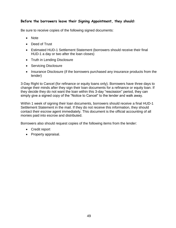### **Before the borrowers leave their Signing Appointment, they should:**

Be sure to receive copies of the following signed documents:

- Note
- Deed of Trust
- Estimated HUD-1 Settlement Statement (borrowers should receive their final HUD-1 a day or two after the loan closes)
- Truth in Lending Disclosure
- Servicing Disclosure
- Insurance Disclosure (if the borrowers purchased any insurance products from the lender)

3-Day Right to Cancel (for refinance or equity loans only). Borrowers have three days to change their minds after they sign their loan documents for a refinance or equity loan. If they decide they do not want the loan within this 3-day "rescission" period, they can simply give a signed copy of the "Notice to Cancel" to the lender and walk away.

Within 1 week of signing their loan documents, borrowers should receive a final HUD-1 Settlement Statement in the mail. If they do not receive this information, they should contact their escrow agent immediately. This document is the official accounting of all monies paid into escrow and distributed.

Borrowers also should request copies of the following items from the lender:

- Credit report
- Property appraisal.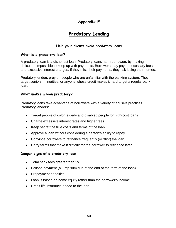### **Appendix F**

### **Predatory Lending**

### **Help your clients avoid predatory loans**

### **What is a predatory loan?**

A predatory loan is a dishonest loan. Predatory loans harm borrowers by making it difficult or impossible to keep up with payments. Borrowers may pay unnecessary fees and excessive interest charges. If they miss their payments, they risk losing their homes.

Predatory lenders prey on people who are unfamiliar with the banking system. They target seniors, minorities, or anyone whose credit makes it hard to get a regular bank loan.

### **What makes a loan predatory?**

Predatory loans take advantage of borrowers with a variety of abusive practices. Predatory lenders:

- Target people of color, elderly and disabled people for high-cost loans
- Charge excessive interest rates and higher fees
- Keep secret the true costs and terms of the loan
- Approve a loan without considering a person's ability to repay
- Convince borrowers to refinance frequently (or "flip") the loan
- Carry terms that make it difficult for the borrower to refinance later.

### **Danger signs of a predatory loan**

- Total bank fees greater than 2%
- Balloon payment (a lump sum due at the end of the term of the loan)
- Prepayment penalties
- Loan is based on home equity rather than the borrower's income
- Credit life insurance added to the loan.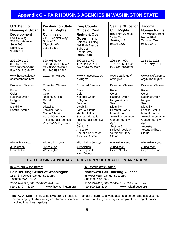### **Appendix G – FAIR HOUSING AGENCIES IN WASHINGTON STATE**

| U.S. Dept. of<br><b>Housing &amp; Urban</b><br><b>Development</b><br>Fair Housing<br>909 First Avenue<br>Suite 205<br>Seattle, WA<br>98104-1000 | <b>Washington State</b><br><b>Human Rights</b><br><b>Commission</b><br>711 S. Capitol Way<br>Suite 402<br>Olympia, WA<br>98504-2490                                                                                                            | <b>King County</b><br><b>Office of Civil</b><br><b>Rights &amp; Open</b><br><b>Government</b><br>Chinook Building<br>401 Fifth Avenue<br>Suite 215<br>Seattle, WA<br>98104-1818                                                                                                                      | <b>Seattle Office for</b><br><b>Civil Rights</b><br>810 Third Avenue<br>Suite 750<br>Seattle, WA<br>98104-1627                                                                                                                                                                               | <b>Tacoma</b><br><b>Human Rights</b><br>747 Market Street<br>Room 1044<br>Tacoma, WA<br>98402-3779                                                                                                                                                                     |
|-------------------------------------------------------------------------------------------------------------------------------------------------|------------------------------------------------------------------------------------------------------------------------------------------------------------------------------------------------------------------------------------------------|------------------------------------------------------------------------------------------------------------------------------------------------------------------------------------------------------------------------------------------------------------------------------------------------------|----------------------------------------------------------------------------------------------------------------------------------------------------------------------------------------------------------------------------------------------------------------------------------------------|------------------------------------------------------------------------------------------------------------------------------------------------------------------------------------------------------------------------------------------------------------------------|
| 206-220-5170<br>800-877-0246<br>TTY 206-220-5185<br>Fax 206-220-5447                                                                            | 360-753-6770<br>800-233-3247 in WA<br>TTY 800-300-7525<br>Fax 360-586-2282                                                                                                                                                                     | 206-263-2446<br>TTY Relay: 711<br>Fax 206-296-4329                                                                                                                                                                                                                                                   | 206-684-4500<br>TTY 206-684-4503<br>Fax 206-684-0332                                                                                                                                                                                                                                         | 253-591-5162<br>TTY Relay: 711                                                                                                                                                                                                                                         |
| www.hud.gov/local/<br>sea/seafhome.html                                                                                                         | www.hum.wa.gov                                                                                                                                                                                                                                 | www/kingcounty.gov/<br>civilrights                                                                                                                                                                                                                                                                   | www.seattle.gov/<br>civilrights                                                                                                                                                                                                                                                              | www.cityoftacoma.<br>org/humanrights                                                                                                                                                                                                                                   |
| <b>Protected Classes</b><br>Race<br>Color<br>National Origin<br>Religion<br>Sex<br><b>Disability</b><br><b>Familial Status</b>                  | <b>Protected Classes</b><br>Race<br>Color<br>National Origin<br>Creed<br><b>Sex</b><br><b>Disability</b><br><b>Familial Status</b><br><b>Marital Status</b><br><b>Sexual Orientation</b><br>(incl. gender identity)<br>Veteran/Military Status | <b>Protected Classes</b><br>Race<br>Color<br><b>National Origin</b><br>Religion<br>Gender<br><b>Disability</b><br><b>Familial Status</b><br><b>Marital Status</b><br><b>Sexual Orientation</b><br>(incl. gender identity)<br>Age<br>Section 8<br>Ancestry<br>Use of a Service or<br>Assistive Animal | <b>Protected Classes</b><br>Race<br>Color<br>National Origin<br>Religion/Creed<br>Sex<br><b>Disability</b><br><b>Parental Status</b><br><b>Marital Status</b><br><b>Sexual Orientation</b><br>Gender Identity<br>Age<br>Section 8<br>Political Ideology<br>Veteran/Military<br><b>Status</b> | <b>Protected Classes</b><br>Race<br>Color<br>National Origin<br>Religion<br><b>Sex</b><br><b>Disability</b><br><b>Familial Status</b><br><b>Marital Status</b><br><b>Sexual Orientation</b><br>Gender Identity<br>Age<br>Ancestry<br>Veteran/Military<br><b>Status</b> |
| File within 1 year<br>Jurisdiction:<br><b>United States</b>                                                                                     | File within 1 year<br>Jurisdiction:<br>Washington                                                                                                                                                                                              | File within 365 days<br>Jurisdiction:<br>Unincorporated<br><b>King County</b>                                                                                                                                                                                                                        | File within 1 year<br>Jurisdiction:<br><b>City of Seattle</b>                                                                                                                                                                                                                                | File within 1 year<br>Jurisdiction:<br>City of Tacoma                                                                                                                                                                                                                  |

### **FAIR HOUSING ADVOCACY, EDUCATION & OUTREACH ORGANIZATIONS**

#### **In Western Washington:**

| <b>Fair Housing Center of Washington</b> |  |  |  |  |
|------------------------------------------|--|--|--|--|
| 1517 S. Fawcett Avenue, Suite 250        |  |  |  |  |
|                                          |  |  |  |  |
| 253-274-9523, 888-766-8800 (toll free),  |  |  |  |  |
| www.fhcwashington.org                    |  |  |  |  |
|                                          |  |  |  |  |

#### **In Eastern Washington:**

**Northwest Fair Housing Alliance** 35 West Main Avenue, Suite 250 Spokane, WA 99201 509-325-2665, 800-200-FAIR (in 509 area code), www.nwfairhouse.org

 **RETALIATION:** Fair housing laws prohibit retaliation – an act of harm by anyone against a person who has asserted fair housing rights (by making an informal discrimination complaint, filing a civil rights complaint, or being otherwise involved in an investigation).